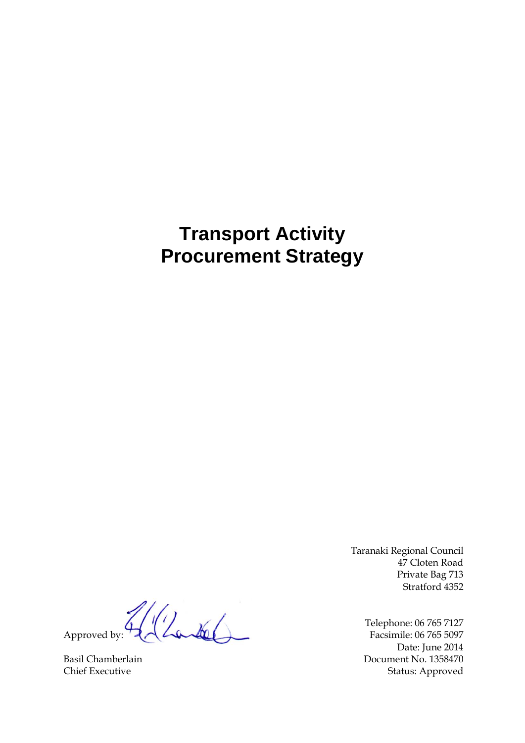# **Transport Activity Procurement Strategy**

Taranaki Regional Council 47 Cloten Road Private Bag 713 Stratford 4352

Telephone: 06 765 7127 Date: June 2014 Basil Chamberlain Document No. 1358470 Chief Executive Status: Approved

Approved by: Facsimile: 06 765 7127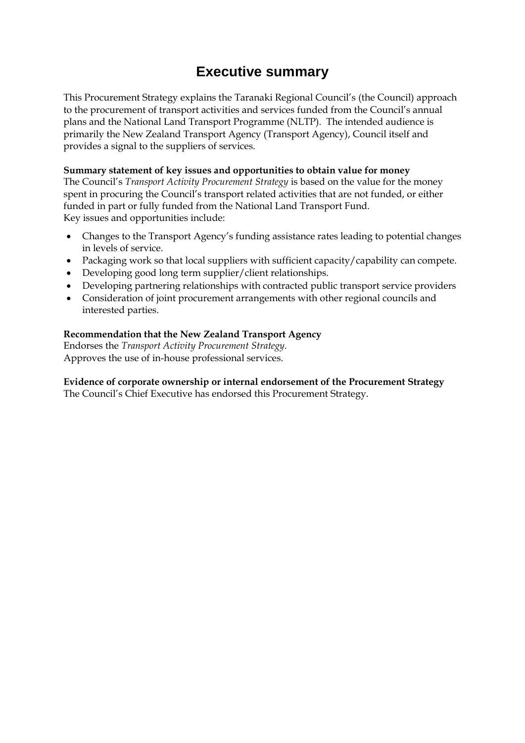## **Executive summary**

This Procurement Strategy explains the Taranaki Regional Council's (the Council) approach to the procurement of transport activities and services funded from the Council's annual plans and the National Land Transport Programme (NLTP). The intended audience is primarily the New Zealand Transport Agency (Transport Agency), Council itself and provides a signal to the suppliers of services.

#### **Summary statement of key issues and opportunities to obtain value for money**

The Council's *Transport Activity Procurement Strategy* is based on the value for the money spent in procuring the Council's transport related activities that are not funded, or either funded in part or fully funded from the National Land Transport Fund. Key issues and opportunities include:

- Changes to the Transport Agency's funding assistance rates leading to potential changes in levels of service.
- Packaging work so that local suppliers with sufficient capacity/capability can compete.
- Developing good long term supplier/client relationships.
- Developing partnering relationships with contracted public transport service providers
- Consideration of joint procurement arrangements with other regional councils and interested parties.

#### **Recommendation that the New Zealand Transport Agency**

Endorses the *Transport Activity Procurement Strategy.* Approves the use of in-house professional services.

### **Evidence of corporate ownership or internal endorsement of the Procurement Strategy**

The Council's Chief Executive has endorsed this Procurement Strategy.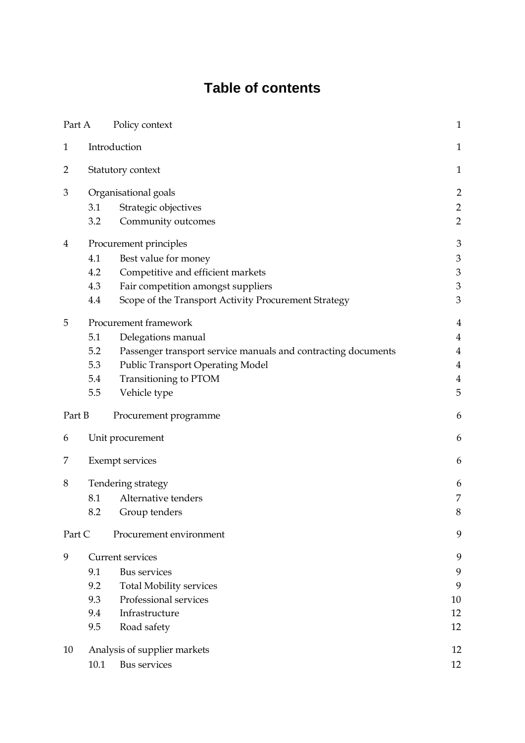# **Table of contents**

| Part A       |                        | Policy context                                                | $\mathbf{1}$                |  |  |  |  |
|--------------|------------------------|---------------------------------------------------------------|-----------------------------|--|--|--|--|
| $\mathbf{1}$ |                        | Introduction                                                  | $\mathbf{1}$                |  |  |  |  |
| 2            | Statutory context      |                                                               |                             |  |  |  |  |
| 3            |                        | Organisational goals                                          | $\overline{2}$              |  |  |  |  |
|              | 3.1                    | Strategic objectives                                          | $\overline{2}$              |  |  |  |  |
|              | 3.2                    | Community outcomes                                            | $\overline{2}$              |  |  |  |  |
| 4            | Procurement principles |                                                               |                             |  |  |  |  |
|              | 4.1                    | Best value for money                                          | $\ensuremath{\mathfrak{Z}}$ |  |  |  |  |
|              | 4.2                    | Competitive and efficient markets                             | $\ensuremath{\mathfrak{Z}}$ |  |  |  |  |
|              | 4.3                    | Fair competition amongst suppliers                            | $\ensuremath{\mathfrak{Z}}$ |  |  |  |  |
|              | 4.4                    | Scope of the Transport Activity Procurement Strategy          | $\mathfrak{Z}$              |  |  |  |  |
| 5            |                        | Procurement framework                                         | $\overline{4}$              |  |  |  |  |
|              | 5.1                    | Delegations manual                                            | $\overline{4}$              |  |  |  |  |
|              | 5.2                    | Passenger transport service manuals and contracting documents | 4                           |  |  |  |  |
|              | 5.3                    | <b>Public Transport Operating Model</b>                       | $\overline{4}$              |  |  |  |  |
|              | 5.4                    | Transitioning to PTOM                                         | $\overline{4}$              |  |  |  |  |
|              | 5.5                    | Vehicle type                                                  | 5                           |  |  |  |  |
| Part B       |                        | Procurement programme                                         | 6                           |  |  |  |  |
| 6            |                        | Unit procurement                                              | 6                           |  |  |  |  |
| 7            |                        | <b>Exempt services</b>                                        | 6                           |  |  |  |  |
| 8            |                        | Tendering strategy                                            | 6                           |  |  |  |  |
|              | 8.1                    | Alternative tenders                                           | $\overline{7}$              |  |  |  |  |
|              | 8.2                    | Group tenders                                                 | 8                           |  |  |  |  |
| Part C       |                        | Procurement environment                                       | 9                           |  |  |  |  |
| 9            |                        | <b>Current services</b>                                       | 9                           |  |  |  |  |
|              | 9.1                    | <b>Bus services</b>                                           | 9                           |  |  |  |  |
|              | 9.2                    | <b>Total Mobility services</b>                                | 9                           |  |  |  |  |
|              | 9.3                    | Professional services                                         | 10                          |  |  |  |  |
|              | 9.4                    | Infrastructure                                                | 12                          |  |  |  |  |
|              | 9.5                    | Road safety                                                   | 12                          |  |  |  |  |
| 10           |                        | Analysis of supplier markets                                  | 12                          |  |  |  |  |
|              | 10.1                   | <b>Bus services</b>                                           | 12                          |  |  |  |  |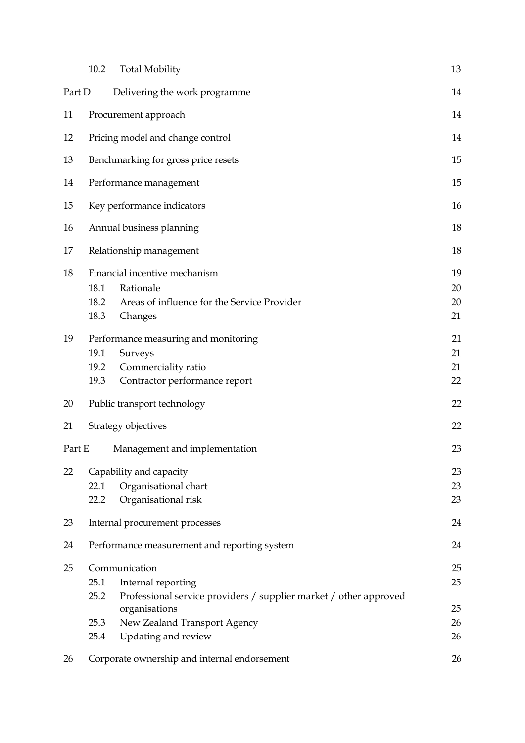|        | 10.2                 | <b>Total Mobility</b>                                                                                                                     | 13                   |
|--------|----------------------|-------------------------------------------------------------------------------------------------------------------------------------------|----------------------|
| Part D |                      | Delivering the work programme                                                                                                             | 14                   |
| 11     |                      | Procurement approach                                                                                                                      | 14                   |
| 12     |                      | Pricing model and change control                                                                                                          | 14                   |
| 13     |                      | Benchmarking for gross price resets                                                                                                       | 15                   |
| 14     |                      | Performance management                                                                                                                    | 15                   |
| 15     |                      | Key performance indicators                                                                                                                | 16                   |
| 16     |                      | Annual business planning                                                                                                                  | 18                   |
| 17     |                      | Relationship management                                                                                                                   | 18                   |
| 18     | 18.1<br>18.2<br>18.3 | Financial incentive mechanism<br>Rationale<br>Areas of influence for the Service Provider<br>Changes                                      | 19<br>20<br>20<br>21 |
| 19     | 19.1<br>19.2<br>19.3 | Performance measuring and monitoring<br>Surveys<br>Commerciality ratio<br>Contractor performance report                                   | 21<br>21<br>21<br>22 |
| 20     |                      | Public transport technology                                                                                                               | 22                   |
| 21     |                      | Strategy objectives                                                                                                                       | 22                   |
| Part E |                      | Management and implementation                                                                                                             | 23                   |
| 22     | 22.1<br>22.2         | Capability and capacity<br>Organisational chart<br>Organisational risk                                                                    | 23<br>23<br>23       |
| 23     |                      | Internal procurement processes                                                                                                            | 24                   |
| 24     |                      | Performance measurement and reporting system                                                                                              | 24                   |
| 25     | 25.1<br>25.2         | Communication<br>Internal reporting                                                                                                       | 25<br>25             |
|        | 25.3<br>25.4         | Professional service providers / supplier market / other approved<br>organisations<br>New Zealand Transport Agency<br>Updating and review | 25<br>26<br>26       |
| 26     |                      | Corporate ownership and internal endorsement                                                                                              | 26                   |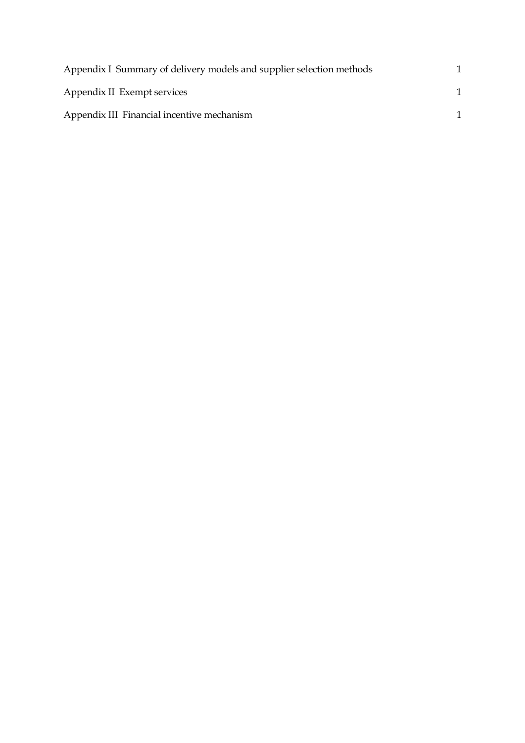| Appendix I Summary of delivery models and supplier selection methods |  |
|----------------------------------------------------------------------|--|
| Appendix II Exempt services                                          |  |
| Appendix III Financial incentive mechanism                           |  |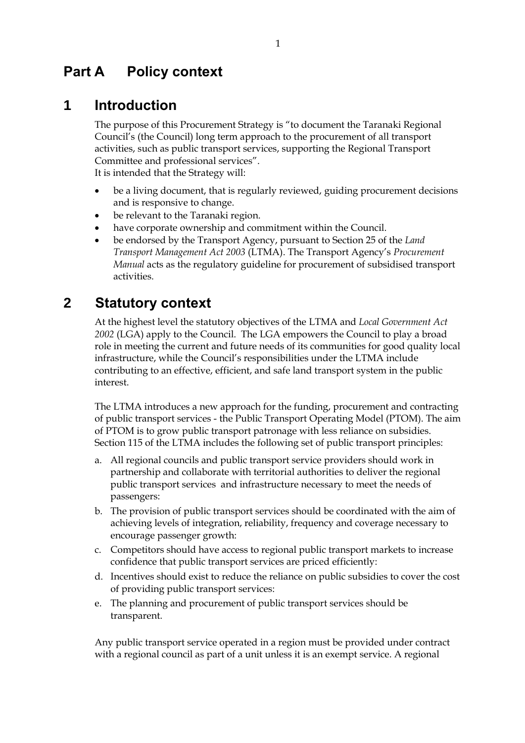## <span id="page-7-0"></span>**Part A Policy context**

### <span id="page-7-1"></span>**1 Introduction**

The purpose of this Procurement Strategy is "to document the Taranaki Regional Council's (the Council) long term approach to the procurement of all transport activities, such as public transport services, supporting the Regional Transport Committee and professional services".

It is intended that the Strategy will:

- be a living document, that is regularly reviewed, guiding procurement decisions and is responsive to change.
- be relevant to the Taranaki region.
- have corporate ownership and commitment within the Council.
- be endorsed by the Transport Agency, pursuant to Section 25 of the *Land Transport Management Act 2003* (LTMA). The Transport Agency's *Procurement Manual* acts as the regulatory guideline for procurement of subsidised transport activities.

## <span id="page-7-2"></span>**2 Statutory context**

At the highest level the statutory objectives of the LTMA and *Local Government Act 2002* (LGA) apply to the Council. The LGA empowers the Council to play a broad role in meeting the current and future needs of its communities for good quality local infrastructure, while the Council's responsibilities under the LTMA include contributing to an effective, efficient, and safe land transport system in the public interest.

The LTMA introduces a new approach for the funding, procurement and contracting of public transport services - the Public Transport Operating Model (PTOM). The aim of PTOM is to grow public transport patronage with less reliance on subsidies. Section 115 of the LTMA includes the following set of public transport principles:

- a. All regional councils and public transport service providers should work in partnership and collaborate with territorial authorities to deliver the regional public transport services and infrastructure necessary to meet the needs of passengers:
- b. The provision of public transport services should be coordinated with the aim of achieving levels of integration, reliability, frequency and coverage necessary to encourage passenger growth:
- c. Competitors should have access to regional public transport markets to increase confidence that public transport services are priced efficiently:
- d. Incentives should exist to reduce the reliance on public subsidies to cover the cost of providing public transport services:
- e. The planning and procurement of public transport services should be transparent.

Any public transport service operated in a region must be provided under contract with a regional council as part of a unit unless it is an exempt service. A regional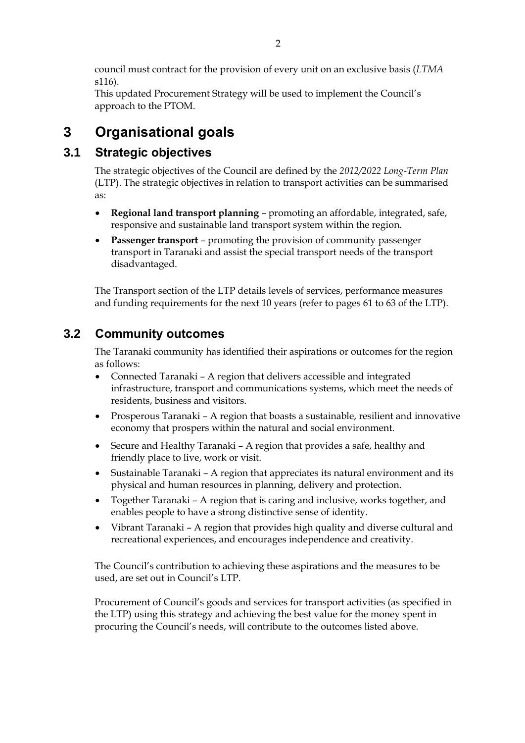council must contract for the provision of every unit on an exclusive basis (*LTMA* s116).

This updated Procurement Strategy will be used to implement the Council's approach to the PTOM.

## <span id="page-8-0"></span>**3 Organisational goals**

## <span id="page-8-1"></span>**3.1 Strategic objectives**

The strategic objectives of the Council are defined by the *2012/2022 Long-Term Plan* (LTP). The strategic objectives in relation to transport activities can be summarised as:

- **Regional land transport planning** promoting an affordable, integrated, safe, responsive and sustainable land transport system within the region.
- **Passenger transport** promoting the provision of community passenger transport in Taranaki and assist the special transport needs of the transport disadvantaged.

The Transport section of the LTP details levels of services, performance measures and funding requirements for the next 10 years (refer to pages 61 to 63 of the LTP).

## <span id="page-8-2"></span>**3.2 Community outcomes**

The Taranaki community has identified their aspirations or outcomes for the region as follows:

- Connected Taranaki A region that delivers accessible and integrated infrastructure, transport and communications systems, which meet the needs of residents, business and visitors.
- Prosperous Taranaki A region that boasts a sustainable, resilient and innovative economy that prospers within the natural and social environment.
- Secure and Healthy Taranaki A region that provides a safe, healthy and friendly place to live, work or visit.
- Sustainable Taranaki A region that appreciates its natural environment and its physical and human resources in planning, delivery and protection.
- Together Taranaki A region that is caring and inclusive, works together, and enables people to have a strong distinctive sense of identity.
- Vibrant Taranaki A region that provides high quality and diverse cultural and recreational experiences, and encourages independence and creativity.

The Council's contribution to achieving these aspirations and the measures to be used, are set out in Council's LTP.

Procurement of Council's goods and services for transport activities (as specified in the LTP) using this strategy and achieving the best value for the money spent in procuring the Council's needs, will contribute to the outcomes listed above.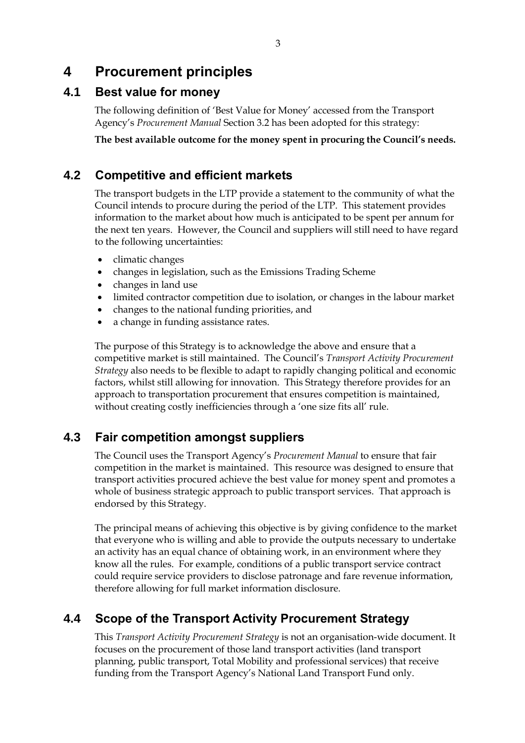## <span id="page-9-0"></span>**4 Procurement principles**

### <span id="page-9-1"></span>**4.1 Best value for money**

The following definition of 'Best Value for Money' accessed from the Transport Agency's *Procurement Manual* Section 3.2 has been adopted for this strategy:

**The best available outcome for the money spent in procuring the Council's needs.**

### <span id="page-9-2"></span>**4.2 Competitive and efficient markets**

The transport budgets in the LTP provide a statement to the community of what the Council intends to procure during the period of the LTP. This statement provides information to the market about how much is anticipated to be spent per annum for the next ten years. However, the Council and suppliers will still need to have regard to the following uncertainties:

- climatic changes
- changes in legislation, such as the Emissions Trading Scheme
- changes in land use
- limited contractor competition due to isolation, or changes in the labour market
- changes to the national funding priorities, and
- a change in funding assistance rates.

The purpose of this Strategy is to acknowledge the above and ensure that a competitive market is still maintained. The Council's *Transport Activity Procurement Strategy* also needs to be flexible to adapt to rapidly changing political and economic factors, whilst still allowing for innovation. This Strategy therefore provides for an approach to transportation procurement that ensures competition is maintained, without creating costly inefficiencies through a 'one size fits all' rule.

### <span id="page-9-3"></span>**4.3 Fair competition amongst suppliers**

The Council uses the Transport Agency's *Procurement Manual* to ensure that fair competition in the market is maintained. This resource was designed to ensure that transport activities procured achieve the best value for money spent and promotes a whole of business strategic approach to public transport services. That approach is endorsed by this Strategy.

The principal means of achieving this objective is by giving confidence to the market that everyone who is willing and able to provide the outputs necessary to undertake an activity has an equal chance of obtaining work, in an environment where they know all the rules. For example, conditions of a public transport service contract could require service providers to disclose patronage and fare revenue information, therefore allowing for full market information disclosure.

### <span id="page-9-4"></span>**4.4 Scope of the Transport Activity Procurement Strategy**

This *Transport Activity Procurement Strategy* is not an organisation-wide document. It focuses on the procurement of those land transport activities (land transport planning, public transport, Total Mobility and professional services) that receive funding from the Transport Agency's National Land Transport Fund only.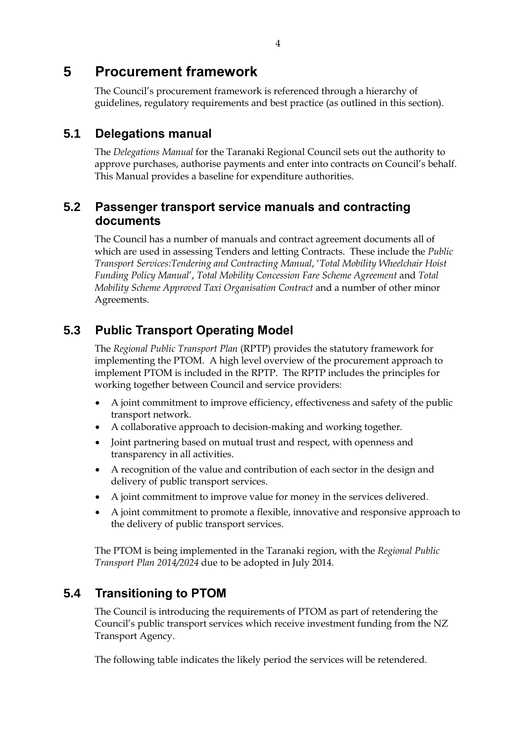## <span id="page-10-0"></span>**5 Procurement framework**

The Council's procurement framework is referenced through a hierarchy of guidelines, regulatory requirements and best practice (as outlined in this section).

### <span id="page-10-1"></span>**5.1 Delegations manual**

The *Delegations Manual* for the Taranaki Regional Council sets out the authority to approve purchases, authorise payments and enter into contracts on Council's behalf. This Manual provides a baseline for expenditure authorities.

### <span id="page-10-2"></span>**5.2 Passenger transport service manuals and contracting documents**

The Council has a number of manuals and contract agreement documents all of which are used in assessing Tenders and letting Contracts. These include the *Public Transport Services:Tendering and Contracting Manual*, '*Total Mobility Wheelchair Hoist Funding Policy Manual*', *Total Mobility Concession Fare Scheme Agreement* and *Total Mobility Scheme Approved Taxi Organisation Contract* and a number of other minor Agreements.

## <span id="page-10-3"></span>**5.3 Public Transport Operating Model**

The *Regional Public Transport Plan* (RPTP) provides the statutory framework for implementing the PTOM. A high level overview of the procurement approach to implement PTOM is included in the RPTP. The RPTP includes the principles for working together between Council and service providers:

- A joint commitment to improve efficiency, effectiveness and safety of the public transport network.
- A collaborative approach to decision-making and working together.
- Joint partnering based on mutual trust and respect, with openness and transparency in all activities.
- A recognition of the value and contribution of each sector in the design and delivery of public transport services.
- A joint commitment to improve value for money in the services delivered.
- A joint commitment to promote a flexible, innovative and responsive approach to the delivery of public transport services.

The PTOM is being implemented in the Taranaki region, with the *Regional Public Transport Plan 2014/2024* due to be adopted in July 2014.

### <span id="page-10-4"></span>**5.4 Transitioning to PTOM**

The Council is introducing the requirements of PTOM as part of retendering the Council's public transport services which receive investment funding from the NZ Transport Agency.

The following table indicates the likely period the services will be retendered.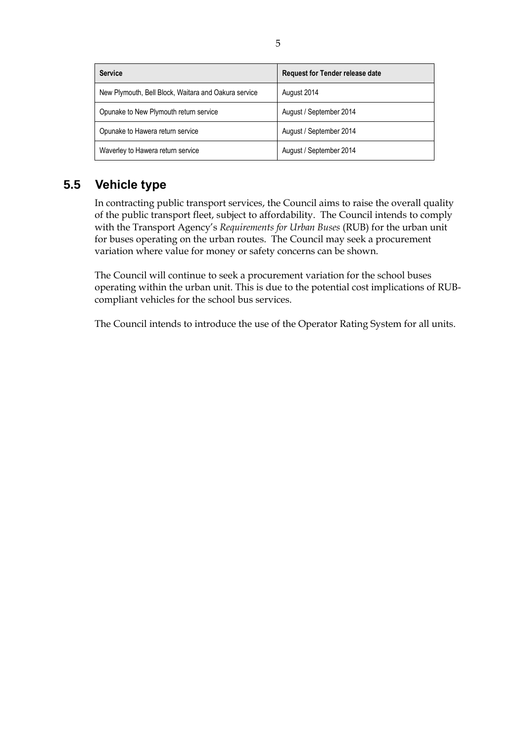| <b>Service</b>                                       | <b>Request for Tender release date</b> |
|------------------------------------------------------|----------------------------------------|
| New Plymouth, Bell Block, Waitara and Oakura service | August 2014                            |
| Opunake to New Plymouth return service               | August / September 2014                |
| Opunake to Hawera return service                     | August / September 2014                |
| Waverley to Hawera return service                    | August / September 2014                |

## <span id="page-11-0"></span>**5.5 Vehicle type**

In contracting public transport services, the Council aims to raise the overall quality of the public transport fleet, subject to affordability. The Council intends to comply with the Transport Agency's *Requirements for Urban Buses* (RUB) for the urban unit for buses operating on the urban routes. The Council may seek a procurement variation where value for money or safety concerns can be shown.

The Council will continue to seek a procurement variation for the school buses operating within the urban unit. This is due to the potential cost implications of RUBcompliant vehicles for the school bus services.

The Council intends to introduce the use of the Operator Rating System for all units.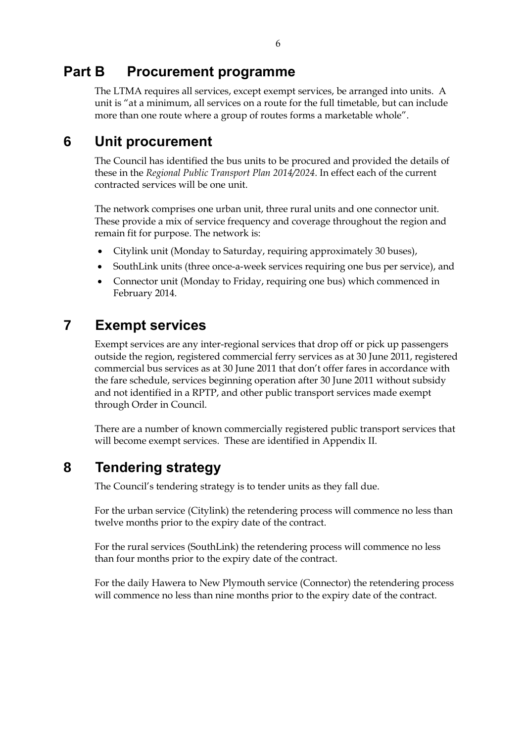## <span id="page-12-0"></span>**Part B Procurement programme**

The LTMA requires all services, except exempt services, be arranged into units. A unit is "at a minimum, all services on a route for the full timetable, but can include more than one route where a group of routes forms a marketable whole".

## <span id="page-12-1"></span>**6 Unit procurement**

The Council has identified the bus units to be procured and provided the details of these in the *Regional Public Transport Plan 2014/2024*. In effect each of the current contracted services will be one unit.

The network comprises one urban unit, three rural units and one connector unit. These provide a mix of service frequency and coverage throughout the region and remain fit for purpose. The network is:

- Citylink unit (Monday to Saturday, requiring approximately 30 buses),
- SouthLink units (three once-a-week services requiring one bus per service), and
- Connector unit (Monday to Friday, requiring one bus) which commenced in February 2014.

## <span id="page-12-2"></span>**7 Exempt services**

Exempt services are any inter-regional services that drop off or pick up passengers outside the region, registered commercial ferry services as at 30 June 2011, registered commercial bus services as at 30 June 2011 that don't offer fares in accordance with the fare schedule, services beginning operation after 30 June 2011 without subsidy and not identified in a RPTP, and other public transport services made exempt through Order in Council.

There are a number of known commercially registered public transport services that will become exempt services. These are identified in Appendix II.

## <span id="page-12-3"></span>**8 Tendering strategy**

The Council's tendering strategy is to tender units as they fall due.

For the urban service (Citylink) the retendering process will commence no less than twelve months prior to the expiry date of the contract.

For the rural services (SouthLink) the retendering process will commence no less than four months prior to the expiry date of the contract.

For the daily Hawera to New Plymouth service (Connector) the retendering process will commence no less than nine months prior to the expiry date of the contract.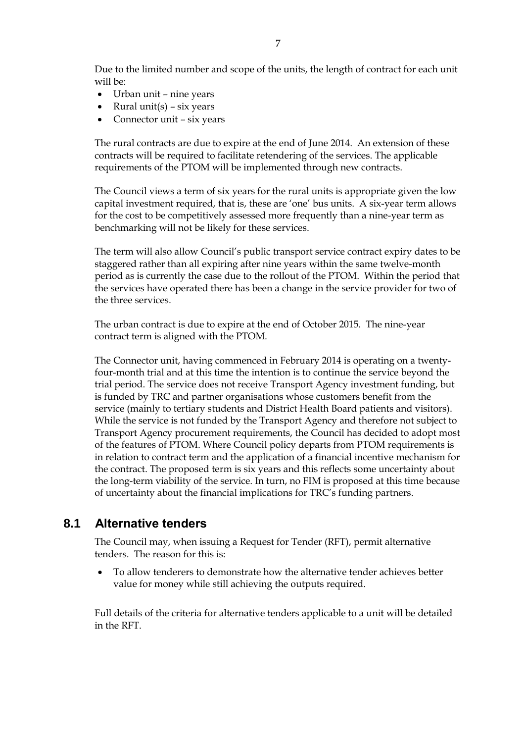Due to the limited number and scope of the units, the length of contract for each unit will be:

- Urban unit nine years
- Rural unit(s) six years
- Connector unit six years

The rural contracts are due to expire at the end of June 2014. An extension of these contracts will be required to facilitate retendering of the services. The applicable requirements of the PTOM will be implemented through new contracts.

The Council views a term of six years for the rural units is appropriate given the low capital investment required, that is, these are 'one' bus units. A six-year term allows for the cost to be competitively assessed more frequently than a nine-year term as benchmarking will not be likely for these services.

The term will also allow Council's public transport service contract expiry dates to be staggered rather than all expiring after nine years within the same twelve-month period as is currently the case due to the rollout of the PTOM. Within the period that the services have operated there has been a change in the service provider for two of the three services.

The urban contract is due to expire at the end of October 2015. The nine-year contract term is aligned with the PTOM.

The Connector unit, having commenced in February 2014 is operating on a twentyfour-month trial and at this time the intention is to continue the service beyond the trial period. The service does not receive Transport Agency investment funding, but is funded by TRC and partner organisations whose customers benefit from the service (mainly to tertiary students and District Health Board patients and visitors). While the service is not funded by the Transport Agency and therefore not subject to Transport Agency procurement requirements, the Council has decided to adopt most of the features of PTOM. Where Council policy departs from PTOM requirements is in relation to contract term and the application of a financial incentive mechanism for the contract. The proposed term is six years and this reflects some uncertainty about the long-term viability of the service. In turn, no FIM is proposed at this time because of uncertainty about the financial implications for TRC's funding partners.

### <span id="page-13-0"></span>**8.1 Alternative tenders**

The Council may, when issuing a Request for Tender (RFT), permit alternative tenders. The reason for this is:

 To allow tenderers to demonstrate how the alternative tender achieves better value for money while still achieving the outputs required.

Full details of the criteria for alternative tenders applicable to a unit will be detailed in the RFT.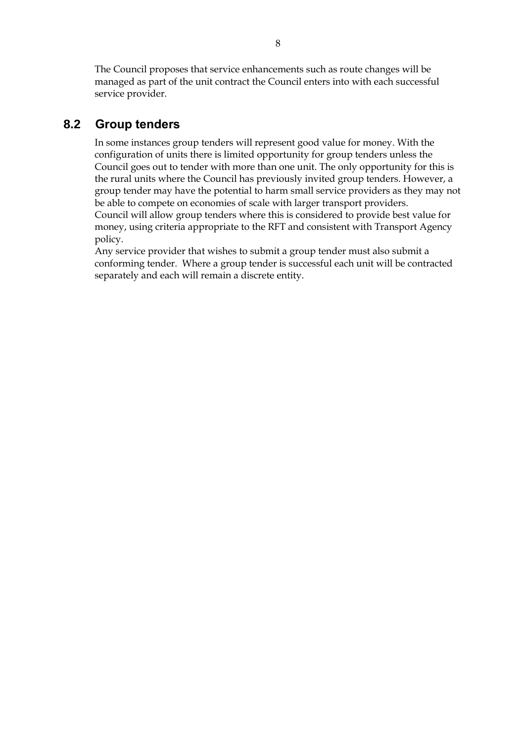The Council proposes that service enhancements such as route changes will be managed as part of the unit contract the Council enters into with each successful service provider.

### <span id="page-14-0"></span>**8.2 Group tenders**

In some instances group tenders will represent good value for money. With the configuration of units there is limited opportunity for group tenders unless the Council goes out to tender with more than one unit. The only opportunity for this is the rural units where the Council has previously invited group tenders. However, a group tender may have the potential to harm small service providers as they may not be able to compete on economies of scale with larger transport providers. Council will allow group tenders where this is considered to provide best value for money, using criteria appropriate to the RFT and consistent with Transport Agency policy.

Any service provider that wishes to submit a group tender must also submit a conforming tender. Where a group tender is successful each unit will be contracted separately and each will remain a discrete entity.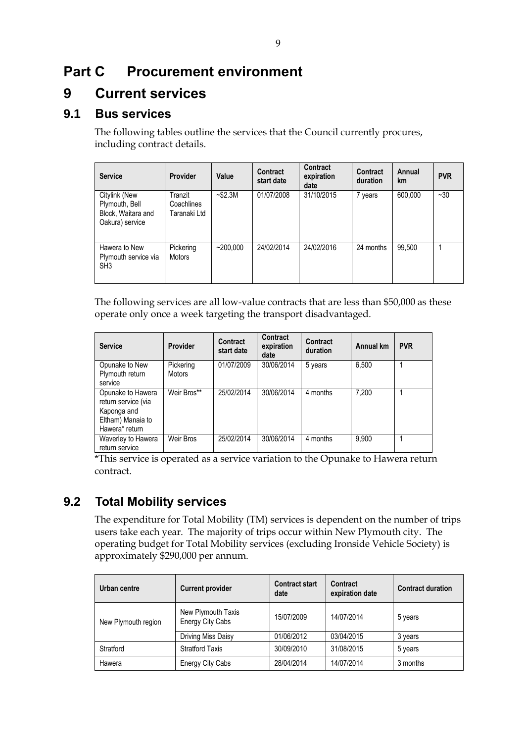## <span id="page-15-0"></span>**Part C Procurement environment**

## <span id="page-15-1"></span>**9 Current services**

### <span id="page-15-2"></span>**9.1 Bus services**

The following tables outline the services that the Council currently procures, including contract details.

| <b>Service</b>                                                           | <b>Provider</b>                       | Value         | <b>Contract</b><br>start date | Contract<br>expiration<br>date | <b>Contract</b><br>duration | Annual<br><b>km</b> | <b>PVR</b> |
|--------------------------------------------------------------------------|---------------------------------------|---------------|-------------------------------|--------------------------------|-----------------------------|---------------------|------------|
| Citylink (New<br>Plymouth, Bell<br>Block, Waitara and<br>Oakura) service | Tranzit<br>Coachlines<br>Taranaki Ltd | $-$ \$2.3M    | 01/07/2008                    | 31/10/2015                     | 7 years                     | 600,000             | $-30$      |
| Hawera to New<br>Plymouth service via<br>SH <sub>3</sub>                 | Pickering<br><b>Motors</b>            | $~1$ -200.000 | 24/02/2014                    | 24/02/2016                     | 24 months                   | 99.500              |            |

The following services are all low-value contracts that are less than \$50,000 as these operate only once a week targeting the transport disadvantaged.

| <b>Service</b>                                                                                 | <b>Provider</b> | Contract<br>start date | <b>Contract</b><br>expiration<br>date | <b>Contract</b><br>duration | Annual km | <b>PVR</b> |
|------------------------------------------------------------------------------------------------|-----------------|------------------------|---------------------------------------|-----------------------------|-----------|------------|
| Opunake to New                                                                                 | Pickering       | 01/07/2009             | 30/06/2014                            | 5 years                     | 6.500     |            |
| Plymouth return<br>service                                                                     | <b>Motors</b>   |                        |                                       |                             |           |            |
| Opunake to Hawera<br>return service (via<br>Kaponga and<br>Eltham) Manaia to<br>Hawera* return | Weir Bros**     | 25/02/2014             | 30/06/2014                            | 4 months                    | 7.200     |            |
| Waverley to Hawera<br>return service                                                           | Weir Bros       | 25/02/2014             | 30/06/2014                            | 4 months                    | 9.900     |            |

\*This service is operated as a service variation to the Opunake to Hawera return contract.

## <span id="page-15-3"></span>**9.2 Total Mobility services**

The expenditure for Total Mobility (TM) services is dependent on the number of trips users take each year. The majority of trips occur within New Plymouth city. The operating budget for Total Mobility services (excluding Ironside Vehicle Society) is approximately \$290,000 per annum.

| Urban centre        | <b>Current provider</b>                       | <b>Contract start</b><br>date | Contract<br>expiration date | <b>Contract duration</b> |
|---------------------|-----------------------------------------------|-------------------------------|-----------------------------|--------------------------|
| New Plymouth region | New Plymouth Taxis<br><b>Energy City Cabs</b> | 15/07/2009                    | 14/07/2014                  | 5 years                  |
|                     | Driving Miss Daisy                            | 01/06/2012                    | 03/04/2015                  | 3 years                  |
| Stratford           | <b>Stratford Taxis</b>                        | 30/09/2010                    | 31/08/2015                  | 5 years                  |
| Hawera              | <b>Energy City Cabs</b>                       | 28/04/2014                    | 14/07/2014                  | 3 months                 |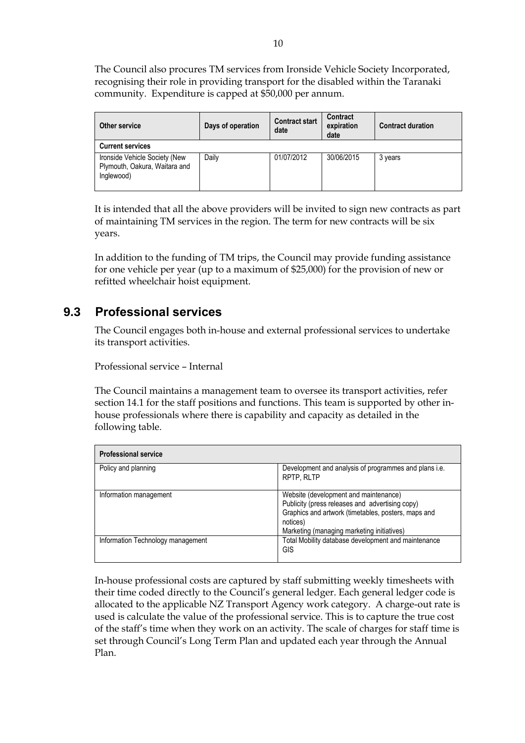The Council also procures TM services from Ironside Vehicle Society Incorporated, recognising their role in providing transport for the disabled within the Taranaki community. Expenditure is capped at \$50,000 per annum.

| Other service                                                                | Days of operation | <b>Contract start</b><br>date | Contract<br>expiration<br>date | <b>Contract duration</b> |  |  |
|------------------------------------------------------------------------------|-------------------|-------------------------------|--------------------------------|--------------------------|--|--|
| <b>Current services</b>                                                      |                   |                               |                                |                          |  |  |
| Ironside Vehicle Society (New<br>Plymouth, Oakura, Waitara and<br>Inglewood) | Daily             | 01/07/2012                    | 30/06/2015                     | 3 years                  |  |  |

It is intended that all the above providers will be invited to sign new contracts as part of maintaining TM services in the region. The term for new contracts will be six years.

In addition to the funding of TM trips, the Council may provide funding assistance for one vehicle per year (up to a maximum of \$25,000) for the provision of new or refitted wheelchair hoist equipment.

### <span id="page-16-0"></span>**9.3 Professional services**

The Council engages both in-house and external professional services to undertake its transport activities.

Professional service – Internal

The Council maintains a management team to oversee its transport activities, refer section 14.1 for the staff positions and functions. This team is supported by other inhouse professionals where there is capability and capacity as detailed in the following table.

| <b>Professional service</b>       |                                                                                                                                                                                                           |  |  |  |
|-----------------------------------|-----------------------------------------------------------------------------------------------------------------------------------------------------------------------------------------------------------|--|--|--|
| Policy and planning               | Development and analysis of programmes and plans i.e.<br>RPTP, RLTP                                                                                                                                       |  |  |  |
| Information management            | Website (development and maintenance)<br>Publicity (press releases and advertising copy)<br>Graphics and artwork (timetables, posters, maps and<br>notices)<br>Marketing (managing marketing initiatives) |  |  |  |
| Information Technology management | Total Mobility database development and maintenance<br>GIS                                                                                                                                                |  |  |  |

In-house professional costs are captured by staff submitting weekly timesheets with their time coded directly to the Council's general ledger. Each general ledger code is allocated to the applicable NZ Transport Agency work category. A charge-out rate is used is calculate the value of the professional service. This is to capture the true cost of the staff's time when they work on an activity. The scale of charges for staff time is set through Council's Long Term Plan and updated each year through the Annual Plan.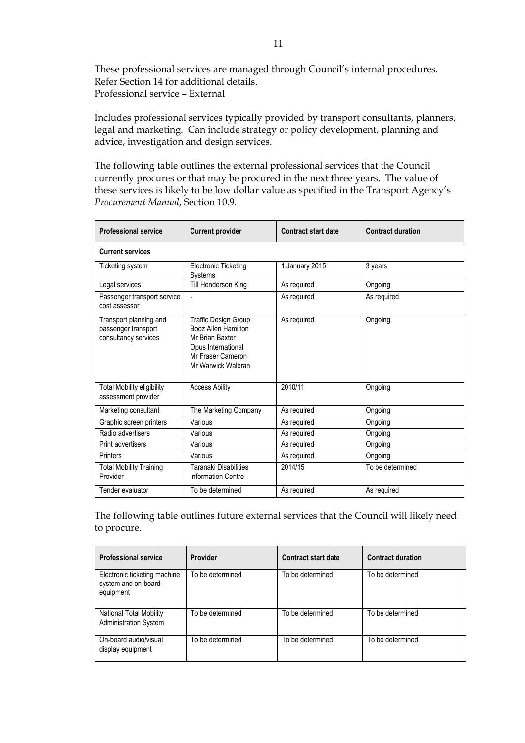These professional services are managed through Council's internal procedures. Refer Section 14 for additional details. Professional service – External

Includes professional services typically provided by transport consultants, planners, legal and marketing. Can include strategy or policy development, planning and advice, investigation and design services.

The following table outlines the external professional services that the Council currently procures or that may be procured in the next three years. The value of these services is likely to be low dollar value as specified in the Transport Agency's *Procurement Manual*, Section 10.9.

| <b>Professional service</b>                                           | <b>Current provider</b>                                                                                                         | <b>Contract start date</b> | <b>Contract duration</b> |  |  |  |
|-----------------------------------------------------------------------|---------------------------------------------------------------------------------------------------------------------------------|----------------------------|--------------------------|--|--|--|
| <b>Current services</b>                                               |                                                                                                                                 |                            |                          |  |  |  |
| Ticketing system                                                      | <b>Electronic Ticketing</b><br>Systems                                                                                          | 1 January 2015             | 3 years                  |  |  |  |
| Legal services                                                        | Till Henderson King                                                                                                             | As required                | Ongoing                  |  |  |  |
| Passenger transport service<br>cost assessor                          | $\blacksquare$                                                                                                                  | As required                | As required              |  |  |  |
| Transport planning and<br>passenger transport<br>consultancy services | Traffic Design Group<br>Booz Allen Hamilton<br>Mr Brian Baxter<br>Opus International<br>Mr Fraser Cameron<br>Mr Warwick Walbran | As required                | Ongoing                  |  |  |  |
| <b>Total Mobility eligibility</b><br>assessment provider              | <b>Access Ability</b>                                                                                                           | 2010/11                    | Ongoing                  |  |  |  |
| Marketing consultant                                                  | The Marketing Company                                                                                                           | As required                | Ongoing                  |  |  |  |
| Graphic screen printers                                               | Various                                                                                                                         | As required                | Ongoing                  |  |  |  |
| Radio advertisers                                                     | Various                                                                                                                         | As required                | Ongoing                  |  |  |  |
| Print advertisers                                                     | Various                                                                                                                         | As required                | Ongoing                  |  |  |  |
| Printers                                                              | Various                                                                                                                         | As required                | Ongoing                  |  |  |  |
| <b>Total Mobility Training</b><br>Provider                            | Taranaki Disabilities<br><b>Information Centre</b>                                                                              | 2014/15                    | To be determined         |  |  |  |
| Tender evaluator                                                      | To be determined                                                                                                                | As required                | As required              |  |  |  |

The following table outlines future external services that the Council will likely need to procure.

| <b>Professional service</b>                                      | <b>Provider</b>  | <b>Contract start date</b> | <b>Contract duration</b> |
|------------------------------------------------------------------|------------------|----------------------------|--------------------------|
| Electronic ticketing machine<br>system and on-board<br>equipment | To be determined | To be determined           | To be determined         |
| National Total Mobility<br><b>Administration System</b>          | To be determined | To be determined           | To be determined         |
| On-board audio/visual<br>display equipment                       | To be determined | To be determined           | To be determined         |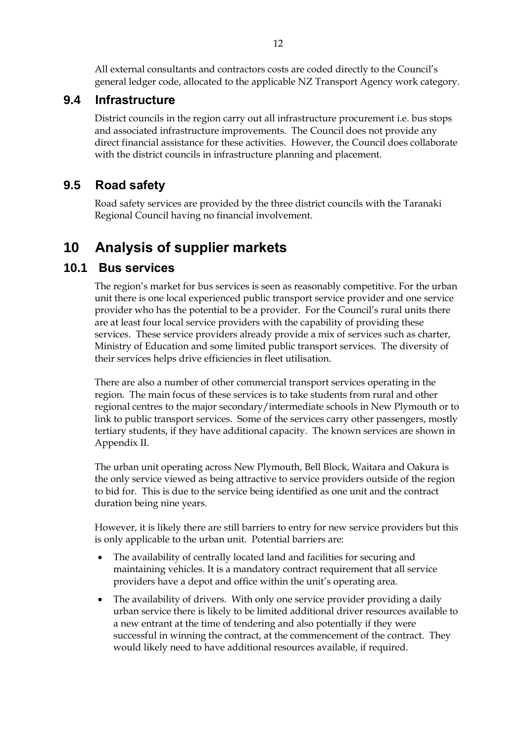All external consultants and contractors costs are coded directly to the Council's general ledger code, allocated to the applicable NZ Transport Agency work category.

#### <span id="page-18-0"></span>**9.4 Infrastructure**

District councils in the region carry out all infrastructure procurement i.e. bus stops and associated infrastructure improvements. The Council does not provide any direct financial assistance for these activities. However, the Council does collaborate with the district councils in infrastructure planning and placement.

### <span id="page-18-1"></span>**9.5 Road safety**

Road safety services are provided by the three district councils with the Taranaki Regional Council having no financial involvement.

## <span id="page-18-2"></span>**10 Analysis of supplier markets**

#### **10.1 Bus services**

<span id="page-18-3"></span>The region's market for bus services is seen as reasonably competitive. For the urban unit there is one local experienced public transport service provider and one service provider who has the potential to be a provider. For the Council's rural units there are at least four local service providers with the capability of providing these services. These service providers already provide a mix of services such as charter, Ministry of Education and some limited public transport services. The diversity of their services helps drive efficiencies in fleet utilisation.

There are also a number of other commercial transport services operating in the region. The main focus of these services is to take students from rural and other regional centres to the major secondary/intermediate schools in New Plymouth or to link to public transport services. Some of the services carry other passengers, mostly tertiary students, if they have additional capacity. The known services are shown in Appendix II.

The urban unit operating across New Plymouth, Bell Block, Waitara and Oakura is the only service viewed as being attractive to service providers outside of the region to bid for. This is due to the service being identified as one unit and the contract duration being nine years.

However, it is likely there are still barriers to entry for new service providers but this is only applicable to the urban unit. Potential barriers are:

- The availability of centrally located land and facilities for securing and maintaining vehicles. It is a mandatory contract requirement that all service providers have a depot and office within the unit's operating area.
- The availability of drivers. With only one service provider providing a daily urban service there is likely to be limited additional driver resources available to a new entrant at the time of tendering and also potentially if they were successful in winning the contract, at the commencement of the contract. They would likely need to have additional resources available, if required.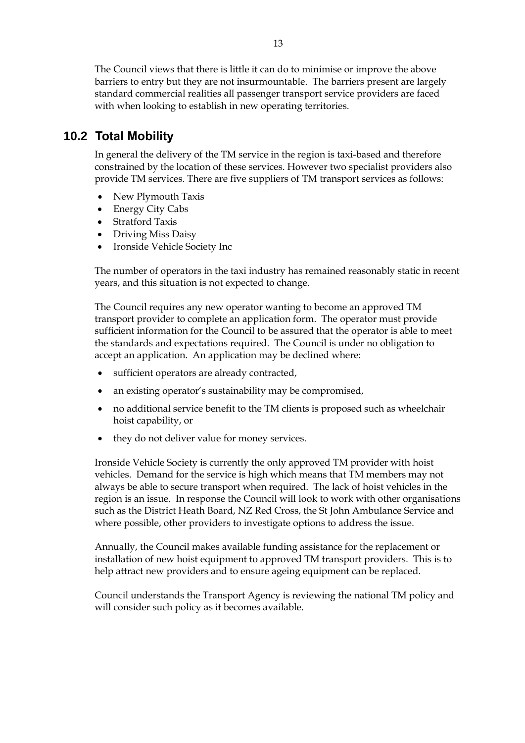The Council views that there is little it can do to minimise or improve the above barriers to entry but they are not insurmountable. The barriers present are largely standard commercial realities all passenger transport service providers are faced with when looking to establish in new operating territories.

### <span id="page-19-0"></span>**10.2 Total Mobility**

In general the delivery of the TM service in the region is taxi-based and therefore constrained by the location of these services. However two specialist providers also provide TM services. There are five suppliers of TM transport services as follows:

- New Plymouth Taxis
- Energy City Cabs
- Stratford Taxis
- Driving Miss Daisy
- Ironside Vehicle Society Inc

The number of operators in the taxi industry has remained reasonably static in recent years, and this situation is not expected to change.

The Council requires any new operator wanting to become an approved TM transport provider to complete an application form. The operator must provide sufficient information for the Council to be assured that the operator is able to meet the standards and expectations required. The Council is under no obligation to accept an application. An application may be declined where:

- sufficient operators are already contracted,
- an existing operator's sustainability may be compromised,
- no additional service benefit to the TM clients is proposed such as wheelchair hoist capability, or
- they do not deliver value for money services.

Ironside Vehicle Society is currently the only approved TM provider with hoist vehicles. Demand for the service is high which means that TM members may not always be able to secure transport when required. The lack of hoist vehicles in the region is an issue. In response the Council will look to work with other organisations such as the District Heath Board, NZ Red Cross, the St John Ambulance Service and where possible, other providers to investigate options to address the issue.

Annually, the Council makes available funding assistance for the replacement or installation of new hoist equipment to approved TM transport providers. This is to help attract new providers and to ensure ageing equipment can be replaced.

Council understands the Transport Agency is reviewing the national TM policy and will consider such policy as it becomes available.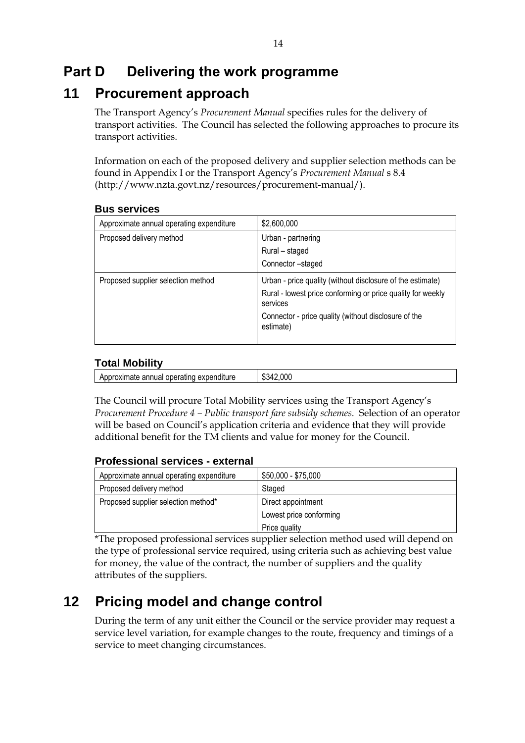## <span id="page-20-0"></span>**Part D Delivering the work programme**

## <span id="page-20-1"></span>**11 Procurement approach**

The Transport Agency's *Procurement Manual* specifies rules for the delivery of transport activities. The Council has selected the following approaches to procure its transport activities.

Information on each of the proposed delivery and supplier selection methods can be found in Appendix I or the Transport Agency's *Procurement Manual* s 8.4 (http://www.nzta.govt.nz/resources/procurement-manual/).

| Approximate annual operating expenditure | \$2,600,000                                                                                                                                                                                                |
|------------------------------------------|------------------------------------------------------------------------------------------------------------------------------------------------------------------------------------------------------------|
| Proposed delivery method                 | Urban - partnering<br>Rural - staged<br>Connector-staged                                                                                                                                                   |
| Proposed supplier selection method       | Urban - price quality (without disclosure of the estimate)<br>Rural - lowest price conforming or price quality for weekly<br>services<br>Connector - price quality (without disclosure of the<br>estimate) |

#### **Bus services**

#### **Total Mobility**

| .<br>.<br>апг<br>expend<br>эхіпате<br>opera<br>anure<br>nuar<br>ADDR<br><br>.<br> | ገበ(<br>л.<br>۰.<br>ພພ |
|-----------------------------------------------------------------------------------|-----------------------|
|                                                                                   |                       |

The Council will procure Total Mobility services using the Transport Agency's *Procurement Procedure 4 – Public transport fare subsidy schemes*. Selection of an operator will be based on Council's application criteria and evidence that they will provide additional benefit for the TM clients and value for money for the Council.

#### **Professional services - external**

| Approximate annual operating expenditure | \$50,000 - \$75,000     |
|------------------------------------------|-------------------------|
| Proposed delivery method                 | Staged                  |
| Proposed supplier selection method*      | Direct appointment      |
|                                          | Lowest price conforming |
|                                          | Price quality           |

\*The proposed professional services supplier selection method used will depend on the type of professional service required, using criteria such as achieving best value for money, the value of the contract, the number of suppliers and the quality attributes of the suppliers.

## <span id="page-20-2"></span>**12 Pricing model and change control**

During the term of any unit either the Council or the service provider may request a service level variation, for example changes to the route, frequency and timings of a service to meet changing circumstances.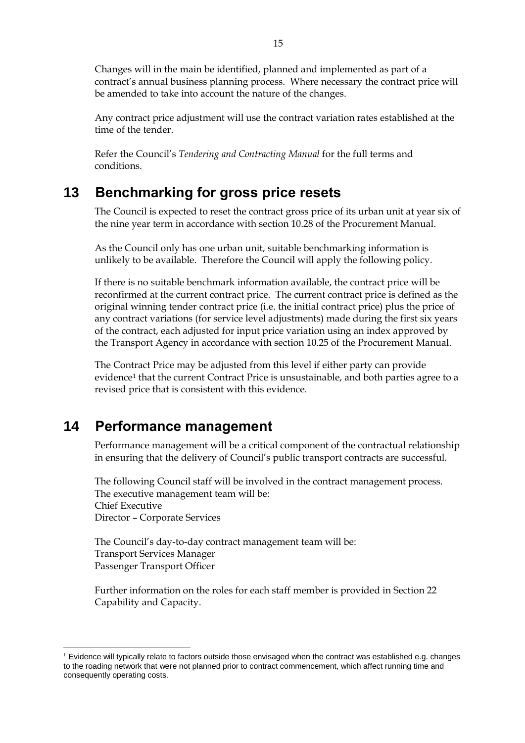Changes will in the main be identified, planned and implemented as part of a contract's annual business planning process. Where necessary the contract price will be amended to take into account the nature of the changes.

Any contract price adjustment will use the contract variation rates established at the time of the tender.

Refer the Council's *Tendering and Contracting Manual* for the full terms and conditions.

## <span id="page-21-0"></span>**13 Benchmarking for gross price resets**

The Council is expected to reset the contract gross price of its urban unit at year six of the nine year term in accordance with section 10.28 of the Procurement Manual.

As the Council only has one urban unit, suitable benchmarking information is unlikely to be available. Therefore the Council will apply the following policy.

If there is no suitable benchmark information available, the contract price will be reconfirmed at the current contract price. The current contract price is defined as the original winning tender contract price (i.e. the initial contract price) plus the price of any contract variations (for service level adjustments) made during the first six years of the contract, each adjusted for input price variation using an index approved by the Transport Agency in accordance with section 10.25 of the Procurement Manual.

The Contract Price may be adjusted from this level if either party can provide evidence1 that the current Contract Price is unsustainable, and both parties agree to a revised price that is consistent with this evidence.

## <span id="page-21-1"></span>**14 Performance management**

<u>.</u>

Performance management will be a critical component of the contractual relationship in ensuring that the delivery of Council's public transport contracts are successful.

The following Council staff will be involved in the contract management process. The executive management team will be: Chief Executive Director – Corporate Services

The Council's day-to-day contract management team will be: Transport Services Manager Passenger Transport Officer

Further information on the roles for each staff member is provided in Section 22 Capability and Capacity.

<sup>1</sup> Evidence will typically relate to factors outside those envisaged when the contract was established e.g. changes to the roading network that were not planned prior to contract commencement, which affect running time and consequently operating costs.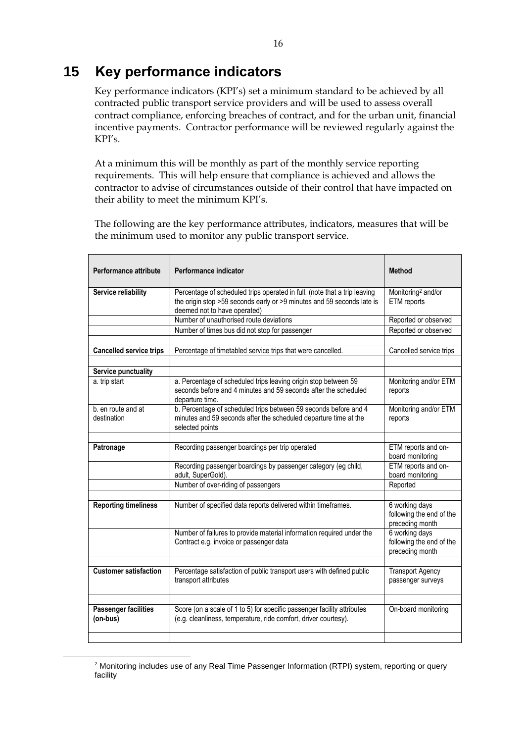## <span id="page-22-0"></span>**15 Key performance indicators**

Key performance indicators (KPI's) set a minimum standard to be achieved by all contracted public transport service providers and will be used to assess overall contract compliance, enforcing breaches of contract, and for the urban unit, financial incentive payments. Contractor performance will be reviewed regularly against the KPI's.

At a minimum this will be monthly as part of the monthly service reporting requirements. This will help ensure that compliance is achieved and allows the contractor to advise of circumstances outside of their control that have impacted on their ability to meet the minimum KPI's.

The following are the key performance attributes, indicators, measures that will be the minimum used to monitor any public transport service.

| <b>Performance attribute</b>            | Performance indicator                                                                                                                                                               | <b>Method</b>                                                 |
|-----------------------------------------|-------------------------------------------------------------------------------------------------------------------------------------------------------------------------------------|---------------------------------------------------------------|
| Service reliability                     | Percentage of scheduled trips operated in full. (note that a trip leaving<br>the origin stop >59 seconds early or >9 minutes and 59 seconds late is<br>deemed not to have operated) | Monitoring <sup>2</sup> and/or<br>ETM reports                 |
|                                         | Number of unauthorised route deviations                                                                                                                                             | Reported or observed                                          |
|                                         | Number of times bus did not stop for passenger                                                                                                                                      | Reported or observed                                          |
| <b>Cancelled service trips</b>          | Percentage of timetabled service trips that were cancelled.                                                                                                                         | Cancelled service trips                                       |
|                                         |                                                                                                                                                                                     |                                                               |
| Service punctuality                     |                                                                                                                                                                                     |                                                               |
| a. trip start                           | a. Percentage of scheduled trips leaving origin stop between 59<br>seconds before and 4 minutes and 59 seconds after the scheduled<br>departure time.                               | Monitoring and/or ETM<br>reports                              |
| b. en route and at<br>destination       | b. Percentage of scheduled trips between 59 seconds before and 4<br>minutes and 59 seconds after the scheduled departure time at the<br>selected points                             | Monitoring and/or ETM<br>reports                              |
|                                         |                                                                                                                                                                                     |                                                               |
| Patronage                               | Recording passenger boardings per trip operated                                                                                                                                     | ETM reports and on-<br>board monitoring                       |
|                                         | Recording passenger boardings by passenger category (eg child,<br>adult, SuperGold).                                                                                                | ETM reports and on-<br>board monitoring                       |
|                                         | Number of over-riding of passengers                                                                                                                                                 | Reported                                                      |
|                                         |                                                                                                                                                                                     |                                                               |
| <b>Reporting timeliness</b>             | Number of specified data reports delivered within timeframes.                                                                                                                       | 6 working days<br>following the end of the<br>preceding month |
|                                         | Number of failures to provide material information required under the<br>Contract e.g. invoice or passenger data                                                                    | 6 working days<br>following the end of the<br>preceding month |
|                                         |                                                                                                                                                                                     |                                                               |
| <b>Customer satisfaction</b>            | Percentage satisfaction of public transport users with defined public<br>transport attributes                                                                                       | <b>Transport Agency</b><br>passenger surveys                  |
|                                         |                                                                                                                                                                                     |                                                               |
| <b>Passenger facilities</b><br>(on-bus) | Score (on a scale of 1 to 5) for specific passenger facility attributes<br>(e.g. cleanliness, temperature, ride comfort, driver courtesy).                                          | On-board monitoring                                           |
|                                         |                                                                                                                                                                                     |                                                               |

<sup>&</sup>lt;sup>2</sup> Monitoring includes use of any Real Time Passenger Information (RTPI) system, reporting or query facility

-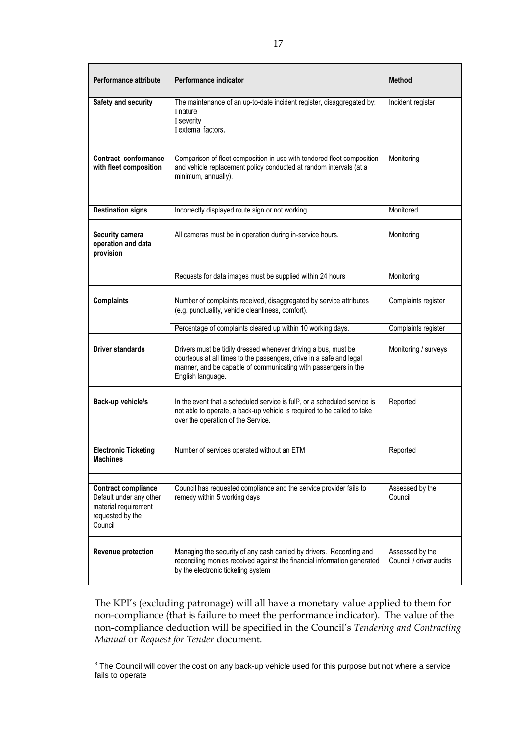| <b>Performance attribute</b>                                                                                 | Performance indicator                                                                                                                                                                                                        | <b>Method</b>                              |
|--------------------------------------------------------------------------------------------------------------|------------------------------------------------------------------------------------------------------------------------------------------------------------------------------------------------------------------------------|--------------------------------------------|
| Safety and security                                                                                          | The maintenance of an up-to-date incident register, disaggregated by:<br>I nature<br>I severity<br>I external factors.                                                                                                       | Incident register                          |
|                                                                                                              |                                                                                                                                                                                                                              |                                            |
| Contract conformance<br>with fleet composition                                                               | Comparison of fleet composition in use with tendered fleet composition<br>and vehicle replacement policy conducted at random intervals (at a<br>minimum, annually).                                                          | Monitoring                                 |
|                                                                                                              |                                                                                                                                                                                                                              |                                            |
| <b>Destination signs</b>                                                                                     | Incorrectly displayed route sign or not working                                                                                                                                                                              | Monitored                                  |
|                                                                                                              |                                                                                                                                                                                                                              |                                            |
| Security camera<br>operation and data<br>provision                                                           | All cameras must be in operation during in-service hours.                                                                                                                                                                    | Monitoring                                 |
|                                                                                                              | Requests for data images must be supplied within 24 hours                                                                                                                                                                    | Monitoring                                 |
|                                                                                                              |                                                                                                                                                                                                                              |                                            |
| <b>Complaints</b>                                                                                            | Number of complaints received, disaggregated by service attributes<br>(e.g. punctuality, vehicle cleanliness, comfort).                                                                                                      | Complaints register                        |
|                                                                                                              | Percentage of complaints cleared up within 10 working days.                                                                                                                                                                  | Complaints register                        |
| <b>Driver standards</b>                                                                                      | Drivers must be tidily dressed whenever driving a bus, must be<br>courteous at all times to the passengers, drive in a safe and legal<br>manner, and be capable of communicating with passengers in the<br>English language. | Monitoring / surveys                       |
| Back-up vehicle/s                                                                                            | In the event that a scheduled service is full <sup>3</sup> , or a scheduled service is<br>not able to operate, a back-up vehicle is required to be called to take<br>over the operation of the Service.                      | Reported                                   |
|                                                                                                              |                                                                                                                                                                                                                              |                                            |
| <b>Electronic Ticketing</b><br><b>Machines</b>                                                               | Number of services operated without an ETM                                                                                                                                                                                   | Reported                                   |
|                                                                                                              |                                                                                                                                                                                                                              |                                            |
| <b>Contract compliance</b><br>Default under any other<br>material requirement<br>requested by the<br>Council | Council has requested compliance and the service provider fails to<br>remedy within 5 working days                                                                                                                           | Assessed by the<br>Council                 |
|                                                                                                              |                                                                                                                                                                                                                              |                                            |
| <b>Revenue protection</b>                                                                                    | Managing the security of any cash carried by drivers. Recording and<br>reconciling monies received against the financial information generated<br>by the electronic ticketing system                                         | Assessed by the<br>Council / driver audits |

The KPI's (excluding patronage) will all have a monetary value applied to them for non-compliance (that is failure to meet the performance indicator). The value of the non-compliance deduction will be specified in the Council's *Tendering and Contracting Manual* or *Request for Tender* document.

-

<sup>&</sup>lt;sup>3</sup> The Council will cover the cost on any back-up vehicle used for this purpose but not where a service fails to operate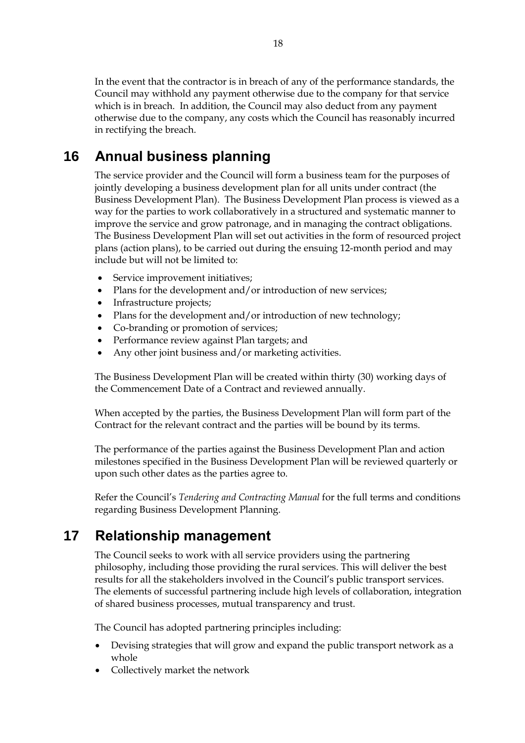In the event that the contractor is in breach of any of the performance standards, the Council may withhold any payment otherwise due to the company for that service which is in breach. In addition, the Council may also deduct from any payment otherwise due to the company, any costs which the Council has reasonably incurred in rectifying the breach.

## <span id="page-24-0"></span>**16 Annual business planning**

The service provider and the Council will form a business team for the purposes of jointly developing a business development plan for all units under contract (the Business Development Plan). The Business Development Plan process is viewed as a way for the parties to work collaboratively in a structured and systematic manner to improve the service and grow patronage, and in managing the contract obligations. The Business Development Plan will set out activities in the form of resourced project plans (action plans), to be carried out during the ensuing 12-month period and may include but will not be limited to:

- Service improvement initiatives;
- Plans for the development and/or introduction of new services;
- Infrastructure projects;
- Plans for the development and/or introduction of new technology;
- Co-branding or promotion of services;
- Performance review against Plan targets; and
- Any other joint business and/or marketing activities.

The Business Development Plan will be created within thirty (30) working days of the Commencement Date of a Contract and reviewed annually.

When accepted by the parties, the Business Development Plan will form part of the Contract for the relevant contract and the parties will be bound by its terms.

The performance of the parties against the Business Development Plan and action milestones specified in the Business Development Plan will be reviewed quarterly or upon such other dates as the parties agree to.

Refer the Council's *Tendering and Contracting Manual* for the full terms and conditions regarding Business Development Planning.

## <span id="page-24-1"></span>**17 Relationship management**

The Council seeks to work with all service providers using the partnering philosophy, including those providing the rural services. This will deliver the best results for all the stakeholders involved in the Council's public transport services. The elements of successful partnering include high levels of collaboration, integration of shared business processes, mutual transparency and trust.

The Council has adopted partnering principles including:

- Devising strategies that will grow and expand the public transport network as a whole
- Collectively market the network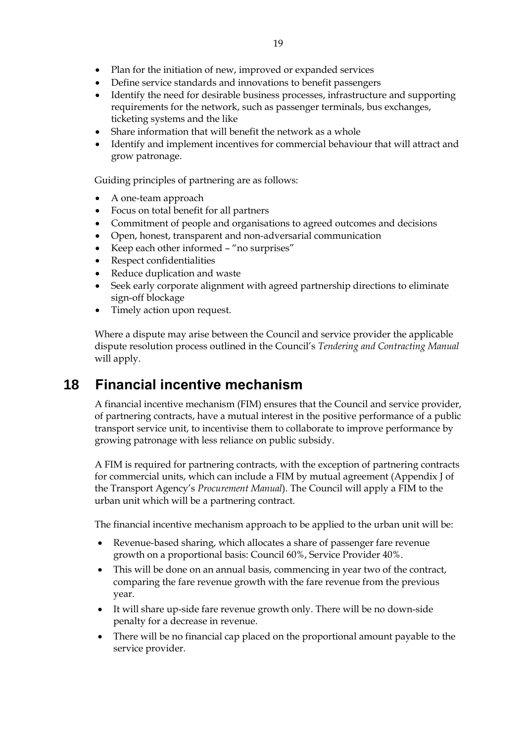- Plan for the initiation of new, improved or expanded services
- Define service standards and innovations to benefit passengers
- Identify the need for desirable business processes, infrastructure and supporting requirements for the network, such as passenger terminals, bus exchanges, ticketing systems and the like
- Share information that will benefit the network as a whole
- Identify and implement incentives for commercial behaviour that will attract and grow patronage.

Guiding principles of partnering are as follows:

- A one-team approach
- Focus on total benefit for all partners
- Commitment of people and organisations to agreed outcomes and decisions
- Open, honest, transparent and non-adversarial communication
- Keep each other informed "no surprises"
- Respect confidentialities
- Reduce duplication and waste
- Seek early corporate alignment with agreed partnership directions to eliminate sign-off blockage
- Timely action upon request.

Where a dispute may arise between the Council and service provider the applicable dispute resolution process outlined in the Council's *Tendering and Contracting Manual* will apply.

## <span id="page-25-0"></span>**18 Financial incentive mechanism**

A financial incentive mechanism (FIM) ensures that the Council and service provider, of partnering contracts, have a mutual interest in the positive performance of a public transport service unit, to incentivise them to collaborate to improve performance by growing patronage with less reliance on public subsidy.

A FIM is required for partnering contracts, with the exception of partnering contracts for commercial units, which can include a FIM by mutual agreement (Appendix J of the Transport Agency's *Procurement Manual*). The Council will apply a FIM to the urban unit which will be a partnering contract.

The financial incentive mechanism approach to be applied to the urban unit will be:

- Revenue-based sharing, which allocates a share of passenger fare revenue growth on a proportional basis: Council 60%, Service Provider 40%.
- This will be done on an annual basis, commencing in year two of the contract, comparing the fare revenue growth with the fare revenue from the previous year.
- It will share up-side fare revenue growth only. There will be no down-side penalty for a decrease in revenue.
- There will be no financial cap placed on the proportional amount payable to the service provider.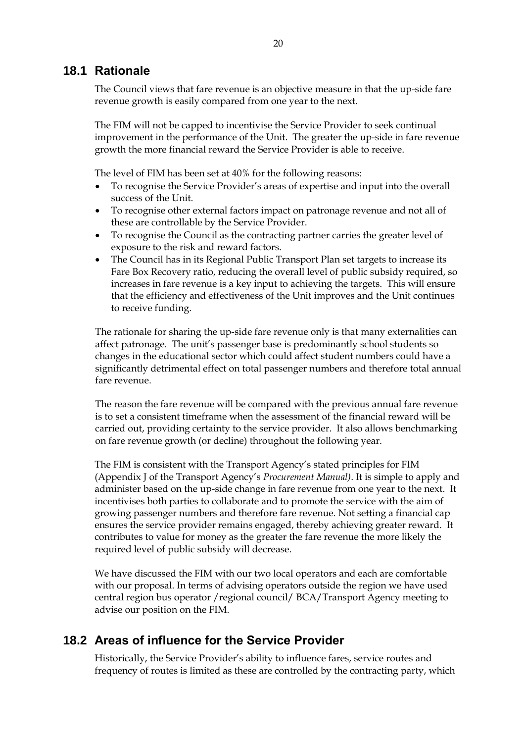#### <span id="page-26-0"></span>**18.1 Rationale**

The Council views that fare revenue is an objective measure in that the up-side fare revenue growth is easily compared from one year to the next.

The FIM will not be capped to incentivise the Service Provider to seek continual improvement in the performance of the Unit. The greater the up-side in fare revenue growth the more financial reward the Service Provider is able to receive.

The level of FIM has been set at 40% for the following reasons:

- To recognise the Service Provider's areas of expertise and input into the overall success of the Unit.
- To recognise other external factors impact on patronage revenue and not all of these are controllable by the Service Provider.
- To recognise the Council as the contracting partner carries the greater level of exposure to the risk and reward factors.
- The Council has in its Regional Public Transport Plan set targets to increase its Fare Box Recovery ratio, reducing the overall level of public subsidy required, so increases in fare revenue is a key input to achieving the targets. This will ensure that the efficiency and effectiveness of the Unit improves and the Unit continues to receive funding.

The rationale for sharing the up-side fare revenue only is that many externalities can affect patronage. The unit's passenger base is predominantly school students so changes in the educational sector which could affect student numbers could have a significantly detrimental effect on total passenger numbers and therefore total annual fare revenue.

The reason the fare revenue will be compared with the previous annual fare revenue is to set a consistent timeframe when the assessment of the financial reward will be carried out, providing certainty to the service provider. It also allows benchmarking on fare revenue growth (or decline) throughout the following year.

The FIM is consistent with the Transport Agency's stated principles for FIM (Appendix J of the Transport Agency's *Procurement Manual)*. It is simple to apply and administer based on the up-side change in fare revenue from one year to the next. It incentivises both parties to collaborate and to promote the service with the aim of growing passenger numbers and therefore fare revenue. Not setting a financial cap ensures the service provider remains engaged, thereby achieving greater reward. It contributes to value for money as the greater the fare revenue the more likely the required level of public subsidy will decrease.

We have discussed the FIM with our two local operators and each are comfortable with our proposal. In terms of advising operators outside the region we have used central region bus operator /regional council/ BCA/Transport Agency meeting to advise our position on the FIM.

### <span id="page-26-1"></span>**18.2 Areas of influence for the Service Provider**

Historically, the Service Provider's ability to influence fares, service routes and frequency of routes is limited as these are controlled by the contracting party, which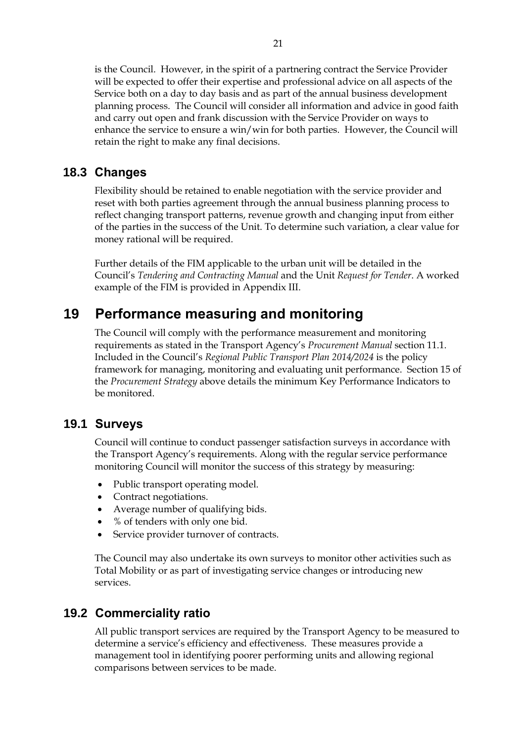is the Council. However, in the spirit of a partnering contract the Service Provider will be expected to offer their expertise and professional advice on all aspects of the Service both on a day to day basis and as part of the annual business development planning process. The Council will consider all information and advice in good faith and carry out open and frank discussion with the Service Provider on ways to enhance the service to ensure a win/win for both parties. However, the Council will retain the right to make any final decisions.

#### <span id="page-27-0"></span>**18.3 Changes**

Flexibility should be retained to enable negotiation with the service provider and reset with both parties agreement through the annual business planning process to reflect changing transport patterns, revenue growth and changing input from either of the parties in the success of the Unit. To determine such variation, a clear value for money rational will be required.

Further details of the FIM applicable to the urban unit will be detailed in the Council's *Tendering and Contracting Manual* and the Unit *Request for Tender*. A worked example of the FIM is provided in Appendix III.

## <span id="page-27-1"></span>**19 Performance measuring and monitoring**

The Council will comply with the performance measurement and monitoring requirements as stated in the Transport Agency's *Procurement Manual* section 11.1. Included in the Council's *Regional Public Transport Plan 2014/2024* is the policy framework for managing, monitoring and evaluating unit performance. Section 15 of the *Procurement Strategy* above details the minimum Key Performance Indicators to be monitored.

#### <span id="page-27-2"></span>**19.1 Surveys**

Council will continue to conduct passenger satisfaction surveys in accordance with the Transport Agency's requirements. Along with the regular service performance monitoring Council will monitor the success of this strategy by measuring:

- Public transport operating model.
- Contract negotiations.
- Average number of qualifying bids.
- % of tenders with only one bid.
- Service provider turnover of contracts.

The Council may also undertake its own surveys to monitor other activities such as Total Mobility or as part of investigating service changes or introducing new services.

### <span id="page-27-3"></span>**19.2 Commerciality ratio**

All public transport services are required by the Transport Agency to be measured to determine a service's efficiency and effectiveness. These measures provide a management tool in identifying poorer performing units and allowing regional comparisons between services to be made.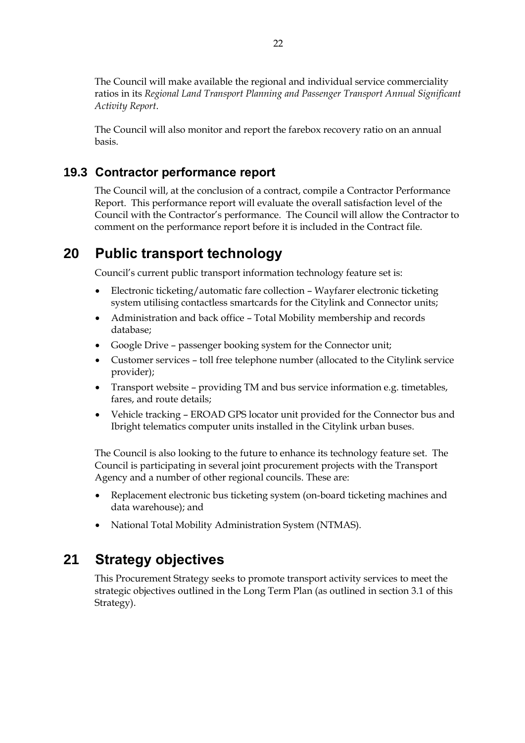The Council will make available the regional and individual service commerciality ratios in its *Regional Land Transport Planning and Passenger Transport Annual Significant Activity Report*.

The Council will also monitor and report the farebox recovery ratio on an annual basis.

#### <span id="page-28-0"></span>**19.3 Contractor performance report**

The Council will, at the conclusion of a contract, compile a Contractor Performance Report. This performance report will evaluate the overall satisfaction level of the Council with the Contractor's performance. The Council will allow the Contractor to comment on the performance report before it is included in the Contract file.

## <span id="page-28-1"></span>**20 Public transport technology**

Council's current public transport information technology feature set is:

- Electronic ticketing/automatic fare collection Wayfarer electronic ticketing system utilising contactless smartcards for the Citylink and Connector units;
- Administration and back office Total Mobility membership and records database;
- Google Drive passenger booking system for the Connector unit;
- Customer services toll free telephone number (allocated to the Citylink service provider);
- Transport website providing TM and bus service information e.g. timetables, fares, and route details;
- Vehicle tracking EROAD GPS locator unit provided for the Connector bus and Ibright telematics computer units installed in the Citylink urban buses.

The Council is also looking to the future to enhance its technology feature set. The Council is participating in several joint procurement projects with the Transport Agency and a number of other regional councils. These are:

- Replacement electronic bus ticketing system (on-board ticketing machines and data warehouse); and
- National Total Mobility Administration System (NTMAS).

## <span id="page-28-2"></span>**21 Strategy objectives**

This Procurement Strategy seeks to promote transport activity services to meet the strategic objectives outlined in the Long Term Plan (as outlined in section 3.1 of this Strategy).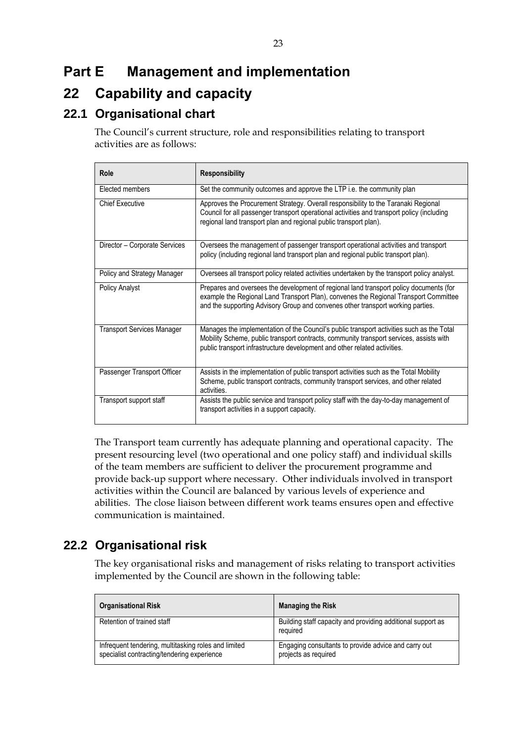# <span id="page-29-0"></span>**Part E Management and implementation**

## <span id="page-29-1"></span>**22 Capability and capacity**

## <span id="page-29-2"></span>**22.1 Organisational chart**

The Council's current structure, role and responsibilities relating to transport activities are as follows:

| Role                          | <b>Responsibility</b>                                                                                                                                                                                                                                             |
|-------------------------------|-------------------------------------------------------------------------------------------------------------------------------------------------------------------------------------------------------------------------------------------------------------------|
| Elected members               | Set the community outcomes and approve the LTP i.e. the community plan                                                                                                                                                                                            |
| <b>Chief Executive</b>        | Approves the Procurement Strategy. Overall responsibility to the Taranaki Regional<br>Council for all passenger transport operational activities and transport policy (including<br>regional land transport plan and regional public transport plan).             |
| Director - Corporate Services | Oversees the management of passenger transport operational activities and transport<br>policy (including regional land transport plan and regional public transport plan).                                                                                        |
| Policy and Strategy Manager   | Oversees all transport policy related activities undertaken by the transport policy analyst.                                                                                                                                                                      |
| Policy Analyst                | Prepares and oversees the development of regional land transport policy documents (for<br>example the Regional Land Transport Plan), convenes the Regional Transport Committee<br>and the supporting Advisory Group and convenes other transport working parties. |
| Transport Services Manager    | Manages the implementation of the Council's public transport activities such as the Total<br>Mobility Scheme, public transport contracts, community transport services, assists with<br>public transport infrastructure development and other related activities. |
| Passenger Transport Officer   | Assists in the implementation of public transport activities such as the Total Mobility<br>Scheme, public transport contracts, community transport services, and other related<br>activities.                                                                     |
| Transport support staff       | Assists the public service and transport policy staff with the day-to-day management of<br>transport activities in a support capacity.                                                                                                                            |

The Transport team currently has adequate planning and operational capacity. The present resourcing level (two operational and one policy staff) and individual skills of the team members are sufficient to deliver the procurement programme and provide back-up support where necessary. Other individuals involved in transport activities within the Council are balanced by various levels of experience and abilities. The close liaison between different work teams ensures open and effective communication is maintained.

## <span id="page-29-3"></span>**22.2 Organisational risk**

The key organisational risks and management of risks relating to transport activities implemented by the Council are shown in the following table:

| <b>Organisational Risk</b>                                                                          | <b>Managing the Risk</b>                                                     |
|-----------------------------------------------------------------------------------------------------|------------------------------------------------------------------------------|
| Retention of trained staff                                                                          | Building staff capacity and providing additional support as<br>required      |
| Infrequent tendering, multitasking roles and limited<br>specialist contracting/tendering experience | Engaging consultants to provide advice and carry out<br>projects as required |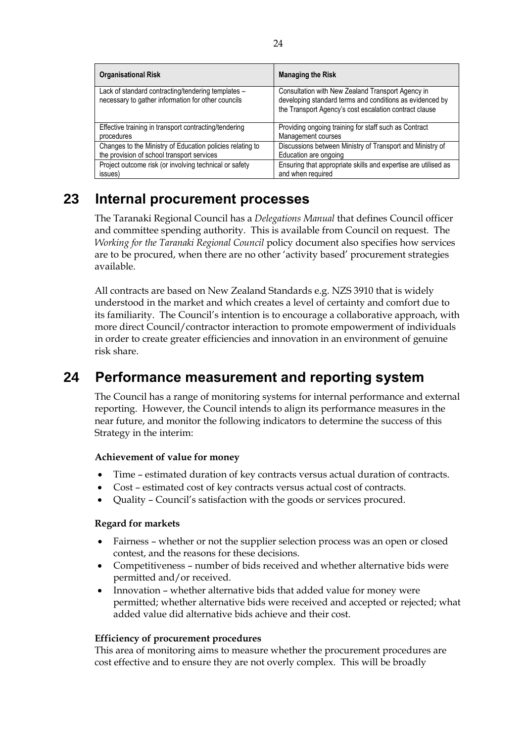| <b>Organisational Risk</b>                                                                               | <b>Managing the Risk</b>                                                                                                                                                |
|----------------------------------------------------------------------------------------------------------|-------------------------------------------------------------------------------------------------------------------------------------------------------------------------|
| Lack of standard contracting/tendering templates -<br>necessary to gather information for other councils | Consultation with New Zealand Transport Agency in<br>developing standard terms and conditions as evidenced by<br>the Transport Agency's cost escalation contract clause |
| Effective training in transport contracting/tendering                                                    | Providing ongoing training for staff such as Contract                                                                                                                   |
| procedures                                                                                               | Management courses                                                                                                                                                      |
| Changes to the Ministry of Education policies relating to                                                | Discussions between Ministry of Transport and Ministry of                                                                                                               |
| the provision of school transport services                                                               | Education are ongoing                                                                                                                                                   |
| Project outcome risk (or involving technical or safety                                                   | Ensuring that appropriate skills and expertise are utilised as                                                                                                          |
| issues)                                                                                                  | and when required                                                                                                                                                       |

## <span id="page-30-0"></span>**23 Internal procurement processes**

The Taranaki Regional Council has a *Delegations Manual* that defines Council officer and committee spending authority. This is available from Council on request. The *Working for the Taranaki Regional Council* policy document also specifies how services are to be procured, when there are no other 'activity based' procurement strategies available.

All contracts are based on New Zealand Standards e.g. NZS 3910 that is widely understood in the market and which creates a level of certainty and comfort due to its familiarity. The Council's intention is to encourage a collaborative approach, with more direct Council/contractor interaction to promote empowerment of individuals in order to create greater efficiencies and innovation in an environment of genuine risk share.

## <span id="page-30-1"></span>**24 Performance measurement and reporting system**

The Council has a range of monitoring systems for internal performance and external reporting. However, the Council intends to align its performance measures in the near future, and monitor the following indicators to determine the success of this Strategy in the interim:

#### **Achievement of value for money**

- Time estimated duration of key contracts versus actual duration of contracts.
- Cost estimated cost of key contracts versus actual cost of contracts.
- Quality Council's satisfaction with the goods or services procured.

#### **Regard for markets**

- Fairness whether or not the supplier selection process was an open or closed contest, and the reasons for these decisions.
- Competitiveness number of bids received and whether alternative bids were permitted and/or received.
- Innovation whether alternative bids that added value for money were permitted; whether alternative bids were received and accepted or rejected; what added value did alternative bids achieve and their cost.

#### **Efficiency of procurement procedures**

This area of monitoring aims to measure whether the procurement procedures are cost effective and to ensure they are not overly complex. This will be broadly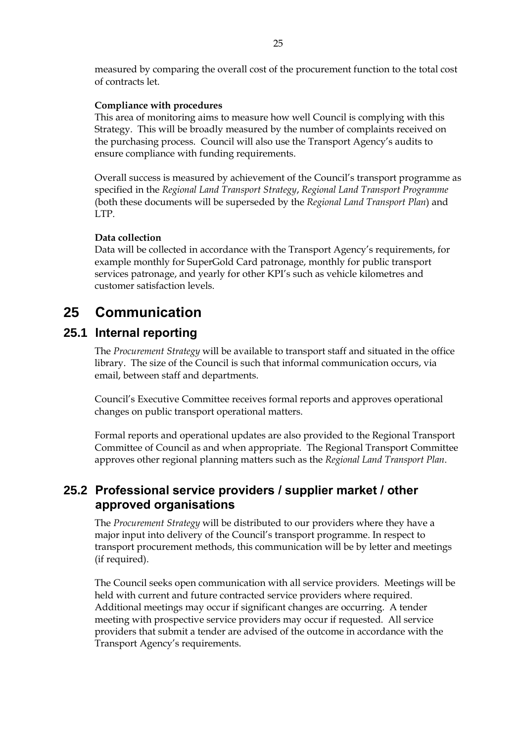measured by comparing the overall cost of the procurement function to the total cost of contracts let.

#### **Compliance with procedures**

This area of monitoring aims to measure how well Council is complying with this Strategy. This will be broadly measured by the number of complaints received on the purchasing process. Council will also use the Transport Agency's audits to ensure compliance with funding requirements.

Overall success is measured by achievement of the Council's transport programme as specified in the *Regional Land Transport Strategy*, *Regional Land Transport Programme* (both these documents will be superseded by the *Regional Land Transport Plan*) and LTP.

#### **Data collection**

Data will be collected in accordance with the Transport Agency's requirements, for example monthly for SuperGold Card patronage, monthly for public transport services patronage, and yearly for other KPI's such as vehicle kilometres and customer satisfaction levels.

## <span id="page-31-0"></span>**25 Communication**

### <span id="page-31-1"></span>**25.1 Internal reporting**

The *Procurement Strategy* will be available to transport staff and situated in the office library. The size of the Council is such that informal communication occurs, via email, between staff and departments.

Council's Executive Committee receives formal reports and approves operational changes on public transport operational matters.

Formal reports and operational updates are also provided to the Regional Transport Committee of Council as and when appropriate. The Regional Transport Committee approves other regional planning matters such as the *Regional Land Transport Plan*.

### <span id="page-31-2"></span>**25.2 Professional service providers / supplier market / other approved organisations**

The *Procurement Strategy* will be distributed to our providers where they have a major input into delivery of the Council's transport programme. In respect to transport procurement methods, this communication will be by letter and meetings (if required).

The Council seeks open communication with all service providers. Meetings will be held with current and future contracted service providers where required. Additional meetings may occur if significant changes are occurring. A tender meeting with prospective service providers may occur if requested. All service providers that submit a tender are advised of the outcome in accordance with the Transport Agency's requirements.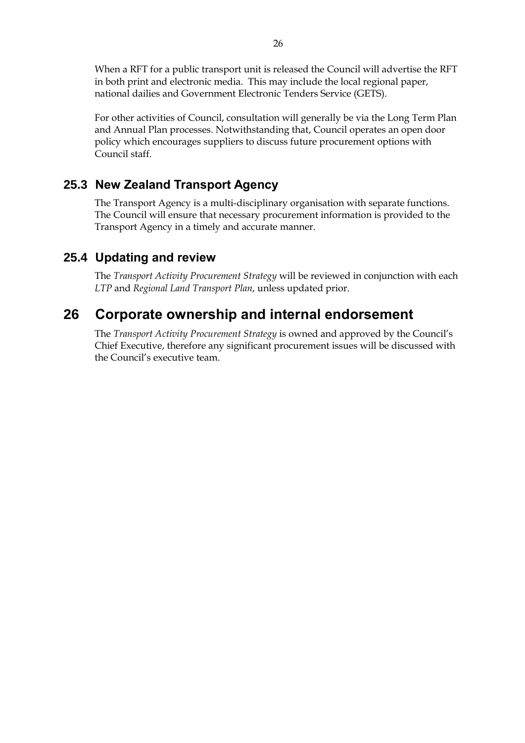When a RFT for a public transport unit is released the Council will advertise the RFT in both print and electronic media. This may include the local regional paper, national dailies and Government Electronic Tenders Service (GETS).

For other activities of Council, consultation will generally be via the Long Term Plan and Annual Plan processes. Notwithstanding that, Council operates an open door policy which encourages suppliers to discuss future procurement options with Council staff.

### <span id="page-32-0"></span>**25.3 New Zealand Transport Agency**

The Transport Agency is a multi-disciplinary organisation with separate functions. The Council will ensure that necessary procurement information is provided to the Transport Agency in a timely and accurate manner.

### <span id="page-32-1"></span>**25.4 Updating and review**

The *Transport Activity Procurement Strategy* will be reviewed in conjunction with each *LTP* and *Regional Land Transport Plan*, unless updated prior.

## <span id="page-32-2"></span>**26 Corporate ownership and internal endorsement**

The *Transport Activity Procurement Strategy* is owned and approved by the Council's Chief Executive, therefore any significant procurement issues will be discussed with the Council's executive team.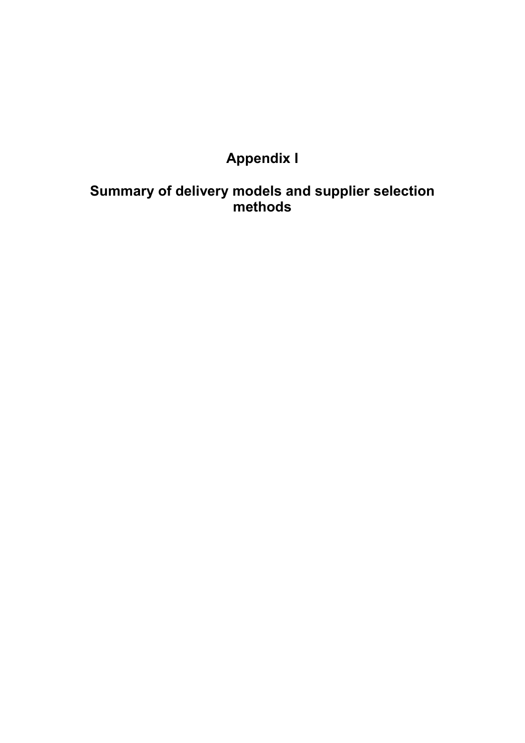# **Appendix I**

## <span id="page-34-0"></span>**Summary of delivery models and supplier selection methods**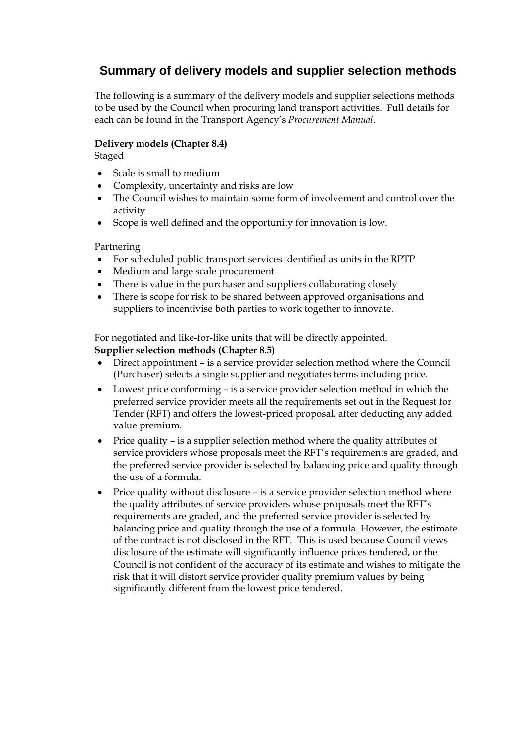## **Summary of delivery models and supplier selection methods**

The following is a summary of the delivery models and supplier selections methods to be used by the Council when procuring land transport activities. Full details for each can be found in the Transport Agency's *Procurement Manual*.

#### **Delivery models (Chapter 8.4)**

Staged

- Scale is small to medium
- Complexity, uncertainty and risks are low
- The Council wishes to maintain some form of involvement and control over the activity
- Scope is well defined and the opportunity for innovation is low.

#### Partnering

- For scheduled public transport services identified as units in the RPTP
- Medium and large scale procurement
- There is value in the purchaser and suppliers collaborating closely
- There is scope for risk to be shared between approved organisations and suppliers to incentivise both parties to work together to innovate.

For negotiated and like-for-like units that will be directly appointed.

#### **Supplier selection methods (Chapter 8.5)**

- Direct appointment is a service provider selection method where the Council (Purchaser) selects a single supplier and negotiates terms including price.
- Lowest price conforming is a service provider selection method in which the preferred service provider meets all the requirements set out in the Request for Tender (RFT) and offers the lowest-priced proposal, after deducting any added value premium.
- Price quality is a supplier selection method where the quality attributes of service providers whose proposals meet the RFT's requirements are graded, and the preferred service provider is selected by balancing price and quality through the use of a formula.
- Price quality without disclosure is a service provider selection method where the quality attributes of service providers whose proposals meet the RFT's requirements are graded, and the preferred service provider is selected by balancing price and quality through the use of a formula. However, the estimate of the contract is not disclosed in the RFT. This is used because Council views disclosure of the estimate will significantly influence prices tendered, or the Council is not confident of the accuracy of its estimate and wishes to mitigate the risk that it will distort service provider quality premium values by being significantly different from the lowest price tendered.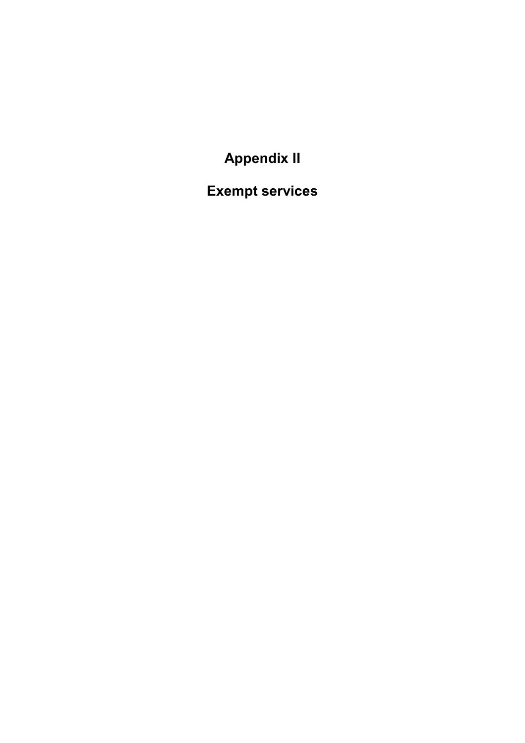**Appendix II**

<span id="page-39-0"></span>**Exempt services**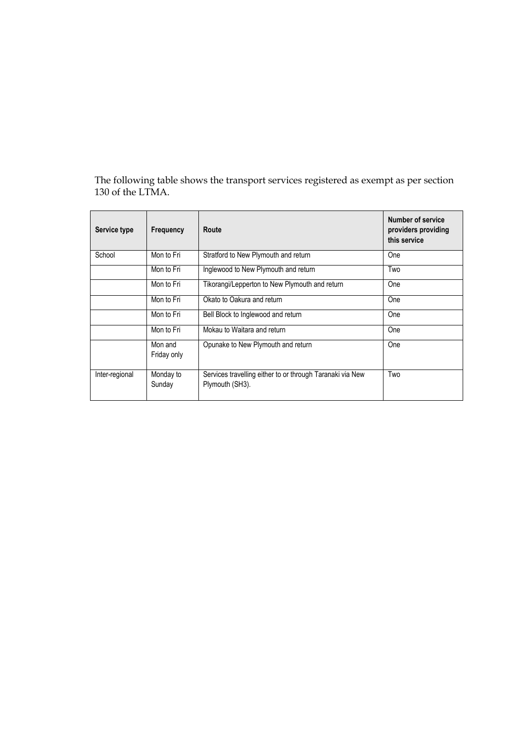The following table shows the transport services registered as exempt as per section 130 of the LTMA.

| Service type   | Frequency              | Route                                                                        | <b>Number of service</b><br>providers providing<br>this service |
|----------------|------------------------|------------------------------------------------------------------------------|-----------------------------------------------------------------|
| School         | Mon to Fri             | Stratford to New Plymouth and return                                         | One                                                             |
|                | Mon to Fri             | Inglewood to New Plymouth and return                                         | Two                                                             |
|                | Mon to Fri             | Tikorangi/Lepperton to New Plymouth and return                               | One                                                             |
|                | Mon to Fri             | Okato to Oakura and return                                                   | One                                                             |
|                | Mon to Fri             | Bell Block to Inglewood and return                                           | One                                                             |
|                | Mon to Fri             | Mokau to Waitara and return                                                  | One                                                             |
|                | Mon and<br>Friday only | Opunake to New Plymouth and return                                           | One                                                             |
| Inter-regional | Monday to<br>Sunday    | Services travelling either to or through Taranaki via New<br>Plymouth (SH3). | Two                                                             |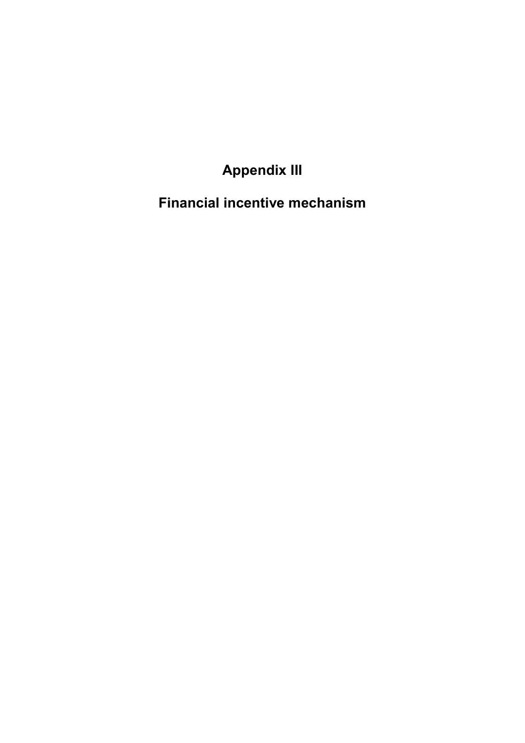**Appendix III**

<span id="page-43-0"></span>**Financial incentive mechanism**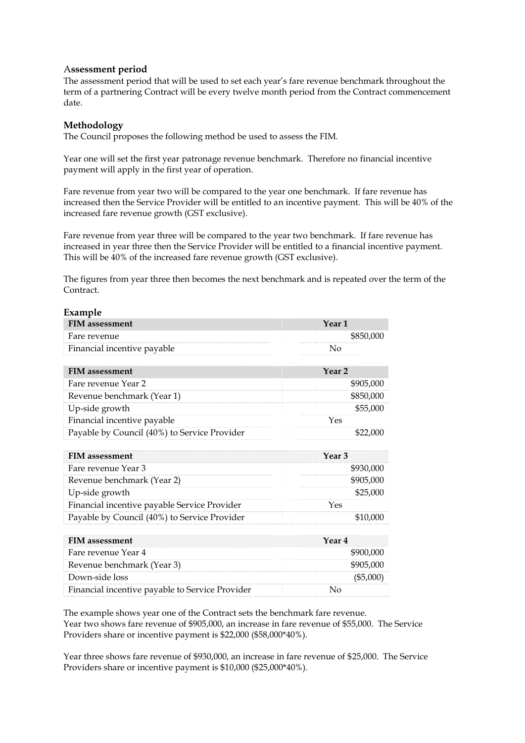#### A**ssessment period**

The assessment period that will be used to set each year's fare revenue benchmark throughout the term of a partnering Contract will be every twelve month period from the Contract commencement date.

#### **Methodology**

The Council proposes the following method be used to assess the FIM.

Year one will set the first year patronage revenue benchmark. Therefore no financial incentive payment will apply in the first year of operation.

Fare revenue from year two will be compared to the year one benchmark. If fare revenue has increased then the Service Provider will be entitled to an incentive payment. This will be 40% of the increased fare revenue growth (GST exclusive).

Fare revenue from year three will be compared to the year two benchmark. If fare revenue has increased in year three then the Service Provider will be entitled to a financial incentive payment. This will be 40% of the increased fare revenue growth (GST exclusive).

The figures from year three then becomes the next benchmark and is repeated over the term of the Contract.

| Example                                         |                   |
|-------------------------------------------------|-------------------|
| <b>FIM</b> assessment                           | Year <sub>1</sub> |
| Fare revenue                                    | \$850,000         |
| Financial incentive payable                     | No                |
|                                                 |                   |
| <b>FIM</b> assessment                           | Year <sub>2</sub> |
| Fare revenue Year 2                             | \$905,000         |
| Revenue benchmark (Year 1)                      | \$850,000         |
| Up-side growth                                  | \$55,000          |
| Financial incentive payable                     | Yes               |
| Payable by Council (40%) to Service Provider    | \$22,000          |
|                                                 |                   |
| <b>FIM</b> assessment                           | Year <sub>3</sub> |
| Fare revenue Year 3                             | \$930,000         |
| Revenue benchmark (Year 2)                      | \$905,000         |
| Up-side growth                                  | \$25,000          |
| Financial incentive payable Service Provider    | Yes               |
| Payable by Council (40%) to Service Provider    | \$10,000          |
|                                                 |                   |
| <b>FIM</b> assessment                           | Year 4            |
| Fare revenue Year 4                             | \$900,000         |
| Revenue benchmark (Year 3)                      | \$905,000         |
| Down-side loss                                  | (\$5,000)         |
| Financial incentive payable to Service Provider | No                |

The example shows year one of the Contract sets the benchmark fare revenue. Year two shows fare revenue of \$905,000, an increase in fare revenue of \$55,000. The Service Providers share or incentive payment is \$22,000 (\$58,000\*40%).

Year three shows fare revenue of \$930,000, an increase in fare revenue of \$25,000. The Service Providers share or incentive payment is \$10,000 (\$25,000\*40%).